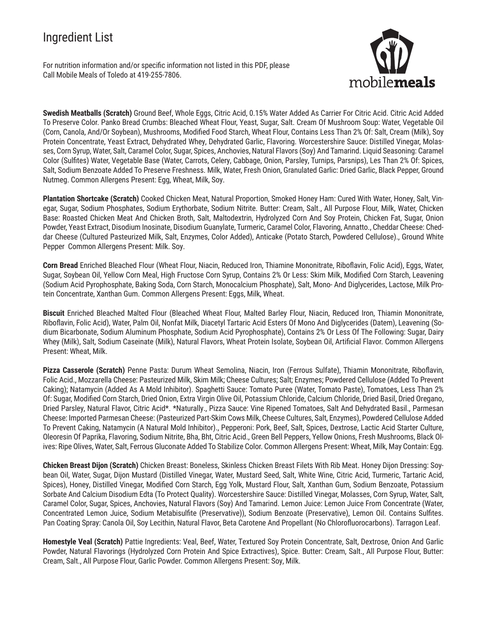# Ingredient List

For nutrition information and/or specific information not listed in this PDF, please Call Mobile Meals of Toledo at 419-255-7806.



**Swedish Meatballs (Scratch)** Ground Beef, Whole Eggs, Citric Acid, 0.15% Water Added As Carrier For Citric Acid. Citric Acid Added To Preserve Color. Panko Bread Crumbs: Bleached Wheat Flour, Yeast, Sugar, Salt. Cream Of Mushroom Soup: Water, Vegetable Oil (Corn, Canola, And/Or Soybean), Mushrooms, Modified Food Starch, Wheat Flour, Contains Less Than 2% Of: Salt, Cream (Milk), Soy Protein Concentrate, Yeast Extract, Dehydrated Whey, Dehydrated Garlic, Flavoring. Worcestershire Sauce: Distilled Vinegar, Molasses, Corn Syrup, Water, Salt, Caramel Color, Sugar, Spices, Anchovies, Natural Flavors (Soy) And Tamarind. Liquid Seasoning: Caramel Color (Sulfites) Water, Vegetable Base (Water, Carrots, Celery, Cabbage, Onion, Parsley, Turnips, Parsnips), Les Than 2% Of: Spices, Salt, Sodium Benzoate Added To Preserve Freshness. Milk, Water, Fresh Onion, Granulated Garlic: Dried Garlic, Black Pepper, Ground Nutmeg. Common Allergens Present: Egg, Wheat, Milk, Soy.

**Plantation Shortcake (Scratch)** Cooked Chicken Meat, Natural Proportion, Smoked Honey Ham: Cured With Water, Honey, Salt, Vinegar, Sugar, Sodium Phosphates, Sodium Erythorbate, Sodium Nitrite. Butter: Cream, Salt., All Purpose Flour, Milk, Water, Chicken Base: Roasted Chicken Meat And Chicken Broth, Salt, Maltodextrin, Hydrolyzed Corn And Soy Protein, Chicken Fat, Sugar, Onion Powder, Yeast Extract, Disodium Inosinate, Disodium Guanylate, Turmeric, Caramel Color, Flavoring, Annatto., Cheddar Cheese: Cheddar Cheese (Cultured Pasteurized Milk, Salt, Enzymes, Color Added), Anticake (Potato Starch, Powdered Cellulose)., Ground White Pepper Common Allergens Present: Milk. Soy.

**Corn Bread** Enriched Bleached Flour (Wheat Flour, Niacin, Reduced Iron, Thiamine Mononitrate, Riboflavin, Folic Acid), Eggs, Water, Sugar, Soybean Oil, Yellow Corn Meal, High Fructose Corn Syrup, Contains 2% Or Less: Skim Milk, Modified Corn Starch, Leavening (Sodium Acid Pyrophosphate, Baking Soda, Corn Starch, Monocalcium Phosphate), Salt, Mono- And Diglycerides, Lactose, Milk Protein Concentrate, Xanthan Gum. Common Allergens Present: Eggs, Milk, Wheat.

**Biscuit** Enriched Bleached Malted Flour (Bleached Wheat Flour, Malted Barley Flour, Niacin, Reduced Iron, Thiamin Mononitrate, Riboflavin, Folic Acid), Water, Palm Oil, Nonfat Milk, Diacetyl Tartaric Acid Esters Of Mono And Diglycerides (Datem), Leavening (Sodium Bicarbonate, Sodium Aluminum Phosphate, Sodium Acid Pyrophosphate), Contains 2% Or Less Of The Following: Sugar, Dairy Whey (Milk), Salt, Sodium Caseinate (Milk), Natural Flavors, Wheat Protein Isolate, Soybean Oil, Artificial Flavor. Common Allergens Present: Wheat, Milk.

**Pizza Casserole (Scratch)** Penne Pasta: Durum Wheat Semolina, Niacin, Iron (Ferrous Sulfate), Thiamin Mononitrate, Riboflavin, Folic Acid., Mozzarella Cheese: Pasteurized Milk, Skim Milk; Cheese Cultures; Salt; Enzymes; Powdered Cellulose (Added To Prevent Caking); Natamycin (Added As A Mold Inhibitor). Spaghetti Sauce: Tomato Puree (Water, Tomato Paste), Tomatoes, Less Than 2% Of: Sugar, Modified Corn Starch, Dried Onion, Extra Virgin Olive Oil, Potassium Chloride, Calcium Chloride, Dried Basil, Dried Oregano, Dried Parsley, Natural Flavor, Citric Acid\*. \*Naturally., Pizza Sauce: Vine Ripened Tomatoes, Salt And Dehydrated Basil., Parmesan Cheese: Imported Parmesan Cheese: (Pasteurized Part-Skim Cows Milk, Cheese Cultures, Salt, Enzymes), Powdered Cellulose Added To Prevent Caking, Natamycin (A Natural Mold Inhibitor)., Pepperoni: Pork, Beef, Salt, Spices, Dextrose, Lactic Acid Starter Culture, Oleoresin Of Paprika, Flavoring, Sodium Nitrite, Bha, Bht, Citric Acid., Green Bell Peppers, Yellow Onions, Fresh Mushrooms, Black Olives: Ripe Olives, Water, Salt, Ferrous Gluconate Added To Stabilize Color. Common Allergens Present: Wheat, Milk, May Contain: Egg.

**Chicken Breast Dijon (Scratch)** Chicken Breast: Boneless, Skinless Chicken Breast Filets With Rib Meat. Honey Dijon Dressing: Soybean Oil, Water, Sugar, Dijon Mustard (Distilled Vinegar, Water, Mustard Seed, Salt, White Wine, Citric Acid, Turmeric, Tartaric Acid, Spices), Honey, Distilled Vinegar, Modified Corn Starch, Egg Yolk, Mustard Flour, Salt, Xanthan Gum, Sodium Benzoate, Potassium Sorbate And Calcium Disodium Edta (To Protect Quality). Worcestershire Sauce: Distilled Vinegar, Molasses, Corn Syrup, Water, Salt, Caramel Color, Sugar, Spices, Anchovies, Natural Flavors (Soy) And Tamarind. Lemon Juice: Lemon Juice From Concentrate (Water, Concentrated Lemon Juice, Sodium Metabisulfite (Preservative)), Sodium Benzoate (Preservative), Lemon Oil. Contains Sulfites. Pan Coating Spray: Canola Oil, Soy Lecithin, Natural Flavor, Beta Carotene And Propellant (No Chlorofluorocarbons). Tarragon Leaf.

**Homestyle Veal (Scratch)** Pattie Ingredients: Veal, Beef, Water, Textured Soy Protein Concentrate, Salt, Dextrose, Onion And Garlic Powder, Natural Flavorings (Hydrolyzed Corn Protein And Spice Extractives), Spice. Butter: Cream, Salt., All Purpose Flour, Butter: Cream, Salt., All Purpose Flour, Garlic Powder. Common Allergens Present: Soy, Milk.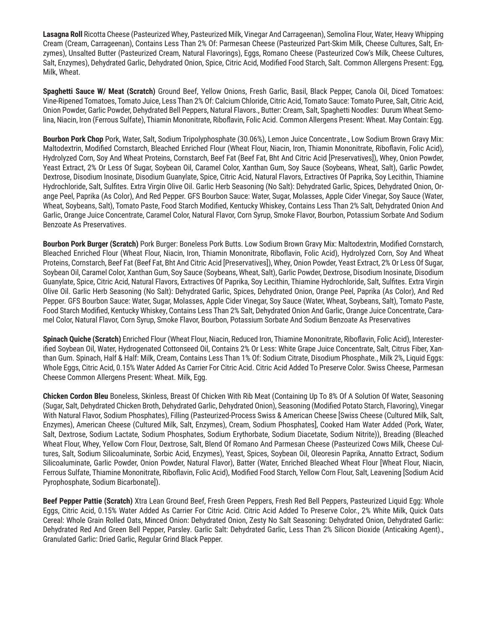**Lasagna Roll** Ricotta Cheese (Pasteurized Whey, Pasteurized Milk, Vinegar And Carrageenan), Semolina Flour, Water, Heavy Whipping Cream (Cream, Carrageenan), Contains Less Than 2% Of: Parmesan Cheese (Pasteurized Part-Skim Milk, Cheese Cultures, Salt, Enzymes), Unsalted Butter (Pasteurized Cream, Natural Flavorings), Eggs, Romano Cheese (Pasteurized Cow's Milk, Cheese Cultures, Salt, Enzymes), Dehydrated Garlic, Dehydrated Onion, Spice, Citric Acid, Modified Food Starch, Salt. Common Allergens Present: Egg, Milk, Wheat.

**Spaghetti Sauce W/ Meat (Scratch)** Ground Beef, Yellow Onions, Fresh Garlic, Basil, Black Pepper, Canola Oil, Diced Tomatoes: Vine-Ripened Tomatoes, Tomato Juice, Less Than 2% Of: Calcium Chloride, Citric Acid, Tomato Sauce: Tomato Puree, Salt, Citric Acid, Onion Powder, Garlic Powder, Dehydrated Bell Peppers, Natural Flavors., Butter: Cream, Salt, Spaghetti Noodles: Durum Wheat Semolina, Niacin, Iron (Ferrous Sulfate), Thiamin Mononitrate, Riboflavin, Folic Acid. Common Allergens Present: Wheat. May Contain: Egg.

**Bourbon Pork Chop** Pork, Water, Salt, Sodium Tripolyphosphate (30.06%), Lemon Juice Concentrate., Low Sodium Brown Gravy Mix: Maltodextrin, Modified Cornstarch, Bleached Enriched Flour (Wheat Flour, Niacin, Iron, Thiamin Mononitrate, Riboflavin, Folic Acid), Hydrolyzed Corn, Soy And Wheat Proteins, Cornstarch, Beef Fat (Beef Fat, Bht And Citric Acid [Preservatives]), Whey, Onion Powder, Yeast Extract, 2% Or Less Of Sugar, Soybean Oil, Caramel Color, Xanthan Gum, Soy Sauce (Soybeans, Wheat, Salt), Garlic Powder, Dextrose, Disodium Inosinate, Disodium Guanylate, Spice, Citric Acid, Natural Flavors, Extractives Of Paprika, Soy Lecithin, Thiamine Hydrochloride, Salt, Sulfites. Extra Virgin Olive Oil. Garlic Herb Seasoning (No Salt): Dehydrated Garlic, Spices, Dehydrated Onion, Orange Peel, Paprika (As Color), And Red Pepper. GFS Bourbon Sauce: Water, Sugar, Molasses, Apple Cider Vinegar, Soy Sauce (Water, Wheat, Soybeans, Salt), Tomato Paste, Food Starch Modified, Kentucky Whiskey, Contains Less Than 2% Salt, Dehydrated Onion And Garlic, Orange Juice Concentrate, Caramel Color, Natural Flavor, Corn Syrup, Smoke Flavor, Bourbon, Potassium Sorbate And Sodium Benzoate As Preservatives.

**Bourbon Pork Burger (Scratch)** Pork Burger: Boneless Pork Butts. Low Sodium Brown Gravy Mix: Maltodextrin, Modified Cornstarch, Bleached Enriched Flour (Wheat Flour, Niacin, Iron, Thiamin Mononitrate, Riboflavin, Folic Acid), Hydrolyzed Corn, Soy And Wheat Proteins, Cornstarch, Beef Fat (Beef Fat, Bht And Citric Acid [Preservatives]), Whey, Onion Powder, Yeast Extract, 2% Or Less Of Sugar, Soybean Oil, Caramel Color, Xanthan Gum, Soy Sauce (Soybeans, Wheat, Salt), Garlic Powder, Dextrose, Disodium Inosinate, Disodium Guanylate, Spice, Citric Acid, Natural Flavors, Extractives Of Paprika, Soy Lecithin, Thiamine Hydrochloride, Salt, Sulfites. Extra Virgin Olive Oil. Garlic Herb Seasoning (No Salt): Dehydrated Garlic, Spices, Dehydrated Onion, Orange Peel, Paprika (As Color), And Red Pepper. GFS Bourbon Sauce: Water, Sugar, Molasses, Apple Cider Vinegar, Soy Sauce (Water, Wheat, Soybeans, Salt), Tomato Paste, Food Starch Modified, Kentucky Whiskey, Contains Less Than 2% Salt, Dehydrated Onion And Garlic, Orange Juice Concentrate, Caramel Color, Natural Flavor, Corn Syrup, Smoke Flavor, Bourbon, Potassium Sorbate And Sodium Benzoate As Preservatives

**Spinach Quiche (Scratch)** Enriched Flour (Wheat Flour, Niacin, Reduced Iron, Thiamine Mononitrate, Riboflavin, Folic Acid), Interesterified Soybean Oil, Water, Hydrogenated Cottonseed Oil, Contains 2% Or Less: White Grape Juice Concentrate, Salt, Citrus Fiber, Xanthan Gum. Spinach, Half & Half: Milk, Cream, Contains Less Than 1% Of: Sodium Citrate, Disodium Phosphate., Milk 2%, Liquid Eggs: Whole Eggs, Citric Acid, 0.15% Water Added As Carrier For Citric Acid. Citric Acid Added To Preserve Color. Swiss Cheese, Parmesan Cheese Common Allergens Present: Wheat. Milk, Egg.

**Chicken Cordon Bleu** Boneless, Skinless, Breast Of Chicken With Rib Meat (Containing Up To 8% Of A Solution Of Water, Seasoning (Sugar, Salt, Dehydrated Chicken Broth, Dehydrated Garlic, Dehydrated Onion), Seasoning (Modified Potato Starch, Flavoring), Vinegar With Natural Flavor, Sodium Phosphates), Filling (Pasteurized-Process Swiss & American Cheese [Swiss Cheese (Cultured Milk, Salt, Enzymes), American Cheese (Cultured Milk, Salt, Enzymes), Cream, Sodium Phosphates], Cooked Ham Water Added (Pork, Water, Salt, Dextrose, Sodium Lactate, Sodium Phosphates, Sodium Erythorbate, Sodium Diacetate, Sodium Nitrite)), Breading (Bleached Wheat Flour, Whey, Yellow Corn Flour, Dextrose, Salt, Blend Of Romano And Parmesan Cheese (Pasteurized Cows Milk, Cheese Cultures, Salt, Sodium Silicoaluminate, Sorbic Acid, Enzymes), Yeast, Spices, Soybean Oil, Oleoresin Paprika, Annatto Extract, Sodium Silicoaluminate, Garlic Powder, Onion Powder, Natural Flavor), Batter (Water, Enriched Bleached Wheat Flour [Wheat Flour, Niacin, Ferrous Sulfate, Thiamine Mononitrate, Riboflavin, Folic Acid), Modified Food Starch, Yellow Corn Flour, Salt, Leavening [Sodium Acid Pyrophosphate, Sodium Bicarbonate]).

**Beef Pepper Pattie (Scratch)** Xtra Lean Ground Beef, Fresh Green Peppers, Fresh Red Bell Peppers, Pasteurized Liquid Egg: Whole Eggs, Citric Acid, 0.15% Water Added As Carrier For Citric Acid. Citric Acid Added To Preserve Color., 2% White Milk, Quick Oats Cereal: Whole Grain Rolled Oats, Minced Onion: Dehydrated Onion, Zesty No Salt Seasoning: Dehydrated Onion, Dehydrated Garlic: Dehydrated Red And Green Bell Pepper, Parsley. Garlic Salt: Dehydrated Garlic, Less Than 2% Silicon Dioxide (Anticaking Agent)., Granulated Garlic: Dried Garlic, Regular Grind Black Pepper.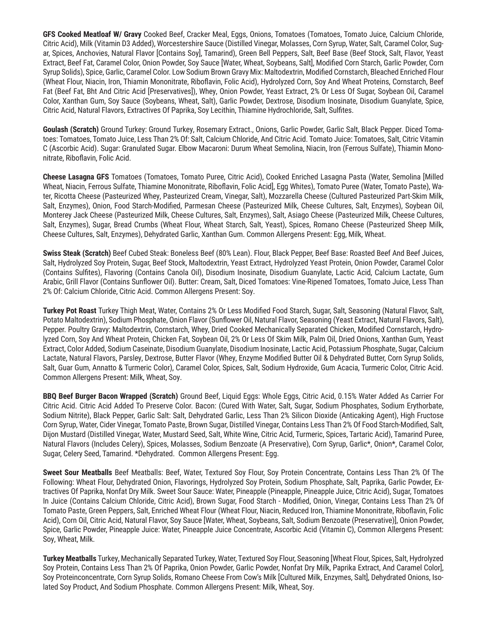**GFS Cooked Meatloaf W/ Gravy** Cooked Beef, Cracker Meal, Eggs, Onions, Tomatoes (Tomatoes, Tomato Juice, Calcium Chloride, Citric Acid), Milk (Vitamin D3 Added), Worcestershire Sauce (Distilled Vinegar, Molasses, Corn Syrup, Water, Salt, Caramel Color, Sugar, Spices, Anchovies, Natural Flavor [Contains Soy], Tamarind), Green Bell Peppers, Salt, Beef Base (Beef Stock, Salt, Flavor, Yeast Extract, Beef Fat, Caramel Color, Onion Powder, Soy Sauce [Water, Wheat, Soybeans, Salt], Modified Corn Starch, Garlic Powder, Corn Syrup Solids), Spice, Garlic, Caramel Color. Low Sodium Brown Gravy Mix: Maltodextrin, Modified Cornstarch, Bleached Enriched Flour (Wheat Flour, Niacin, Iron, Thiamin Mononitrate, Riboflavin, Folic Acid), Hydrolyzed Corn, Soy And Wheat Proteins, Cornstarch, Beef Fat (Beef Fat, Bht And Citric Acid [Preservatives]), Whey, Onion Powder, Yeast Extract, 2% Or Less Of Sugar, Soybean Oil, Caramel Color, Xanthan Gum, Soy Sauce (Soybeans, Wheat, Salt), Garlic Powder, Dextrose, Disodium Inosinate, Disodium Guanylate, Spice, Citric Acid, Natural Flavors, Extractives Of Paprika, Soy Lecithin, Thiamine Hydrochloride, Salt, Sulfites.

**Goulash (Scratch)** Ground Turkey: Ground Turkey, Rosemary Extract., Onions, Garlic Powder, Garlic Salt, Black Pepper. Diced Tomatoes: Tomatoes, Tomato Juice, Less Than 2% Of: Salt, Calcium Chloride, And Citric Acid. Tomato Juice: Tomatoes, Salt, Citric Vitamin C (Ascorbic Acid). Sugar: Granulated Sugar. Elbow Macaroni: Durum Wheat Semolina, Niacin, Iron (Ferrous Sulfate), Thiamin Mononitrate, Riboflavin, Folic Acid.

**Cheese Lasagna GFS** Tomatoes (Tomatoes, Tomato Puree, Citric Acid), Cooked Enriched Lasagna Pasta (Water, Semolina [Milled Wheat, Niacin, Ferrous Sulfate, Thiamine Mononitrate, Riboflavin, Folic Acid], Egg Whites), Tomato Puree (Water, Tomato Paste), Water, Ricotta Cheese (Pasteurized Whey, Pasteurized Cream, Vinegar, Salt), Mozzarella Cheese (Cultured Pasteurized Part-Skim Milk, Salt, Enzymes), Onion, Food Starch-Modified, Parmesan Cheese (Pasteurized Milk, Cheese Cultures, Salt, Enzymes), Soybean Oil, Monterey Jack Cheese (Pasteurized Milk, Cheese Cultures, Salt, Enzymes), Salt, Asiago Cheese (Pasteurized Milk, Cheese Cultures, Salt, Enzymes), Sugar, Bread Crumbs (Wheat Flour, Wheat Starch, Salt, Yeast), Spices, Romano Cheese (Pasteurized Sheep Milk, Cheese Cultures, Salt, Enzymes), Dehydrated Garlic, Xanthan Gum. Common Allergens Present: Egg, Milk, Wheat.

**Swiss Steak (Scratch)** Beef Cubed Steak: Boneless Beef (80% Lean). Flour, Black Pepper, Beef Base: Roasted Beef And Beef Juices, Salt, Hydrolyzed Soy Protein, Sugar, Beef Stock, Maltodextrin, Yeast Extract, Hydrolyzed Yeast Protein, Onion Powder, Caramel Color (Contains Sulfites), Flavoring (Contains Canola Oil), Disodium Inosinate, Disodium Guanylate, Lactic Acid, Calcium Lactate, Gum Arabic, Grill Flavor (Contains Sunflower Oil). Butter: Cream, Salt, Diced Tomatoes: Vine-Ripened Tomatoes, Tomato Juice, Less Than 2% Of: Calcium Chloride, Citric Acid. Common Allergens Present: Soy.

**Turkey Pot Roast** Turkey Thigh Meat, Water, Contains 2% Or Less Modified Food Starch, Sugar, Salt, Seasoning (Natural Flavor, Salt, Potato Maltodextrin), Sodium Phosphate, Onion Flavor (Sunflower Oil, Natural Flavor, Seasoning (Yeast Extract, Natural Flavors, Salt), Pepper. Poultry Gravy: Maltodextrin, Cornstarch, Whey, Dried Cooked Mechanically Separated Chicken, Modified Cornstarch, Hydrolyzed Corn, Soy And Wheat Protein, Chicken Fat, Soybean Oil, 2% Or Less Of Skim Milk, Palm Oil, Dried Onions, Xanthan Gum, Yeast Extract, Color Added, Sodium Caseinate, Disodium Guanylate, Disodium Inosinate, Lactic Acid, Potassium Phosphate, Sugar, Calcium Lactate, Natural Flavors, Parsley, Dextrose, Butter Flavor (Whey, Enzyme Modified Butter Oil & Dehydrated Butter, Corn Syrup Solids, Salt, Guar Gum, Annatto & Turmeric Color), Caramel Color, Spices, Salt, Sodium Hydroxide, Gum Acacia, Turmeric Color, Citric Acid. Common Allergens Present: Milk, Wheat, Soy.

**BBQ Beef Burger Bacon Wrapped (Scratch)** Ground Beef, Liquid Eggs: Whole Eggs, Citric Acid, 0.15% Water Added As Carrier For Citric Acid. Citric Acid Added To Preserve Color. Bacon: (Cured With Water, Salt, Sugar, Sodium Phosphates, Sodium Erythorbate, Sodium Nitrite), Black Pepper, Garlic Salt: Salt, Dehydrated Garlic, Less Than 2% Silicon Dioxide (Anticaking Agent), High Fructose Corn Syrup, Water, Cider Vinegar, Tomato Paste, Brown Sugar, Distilled Vinegar, Contains Less Than 2% Of Food Starch-Modified, Salt, Dijon Mustard (Distilled Vinegar, Water, Mustard Seed, Salt, White Wine, Citric Acid, Turmeric, Spices, Tartaric Acid), Tamarind Puree, Natural Flavors (Includes Celery), Spices, Molasses, Sodium Benzoate (A Preservative), Corn Syrup, Garlic\*, Onion\*, Caramel Color, Sugar, Celery Seed, Tamarind. \*Dehydrated. Common Allergens Present: Egg.

**Sweet Sour Meatballs** Beef Meatballs: Beef, Water, Textured Soy Flour, Soy Protein Concentrate, Contains Less Than 2% Of The Following: Wheat Flour, Dehydrated Onion, Flavorings, Hydrolyzed Soy Protein, Sodium Phosphate, Salt, Paprika, Garlic Powder, Extractives Of Paprika, Nonfat Dry Milk. Sweet Sour Sauce: Water, Pineapple (Pineapple, Pineapple Juice, Citric Acid), Sugar, Tomatoes In Juice (Contains Calcium Chloride, Citric Acid), Brown Sugar, Food Starch - Modified, Onion, Vinegar, Contains Less Than 2% Of Tomato Paste, Green Peppers, Salt, Enriched Wheat Flour (Wheat Flour, Niacin, Reduced Iron, Thiamine Mononitrate, Riboflavin, Folic Acid), Corn Oil, Citric Acid, Natural Flavor, Soy Sauce [Water, Wheat, Soybeans, Salt, Sodium Benzoate (Preservative)], Onion Powder, Spice, Garlic Powder, Pineapple Juice: Water, Pineapple Juice Concentrate, Ascorbic Acid (Vitamin C), Common Allergens Present: Soy, Wheat, Milk.

**Turkey Meatballs** Turkey, Mechanically Separated Turkey, Water, Textured Soy Flour, Seasoning [Wheat Flour, Spices, Salt, Hydrolyzed Soy Protein, Contains Less Than 2% Of Paprika, Onion Powder, Garlic Powder, Nonfat Dry Milk, Paprika Extract, And Caramel Color], Soy Proteinconcentrate, Corn Syrup Solids, Romano Cheese From Cow's Milk [Cultured Milk, Enzymes, Salt], Dehydrated Onions, Isolated Soy Product, And Sodium Phosphate. Common Allergens Present: Milk, Wheat, Soy.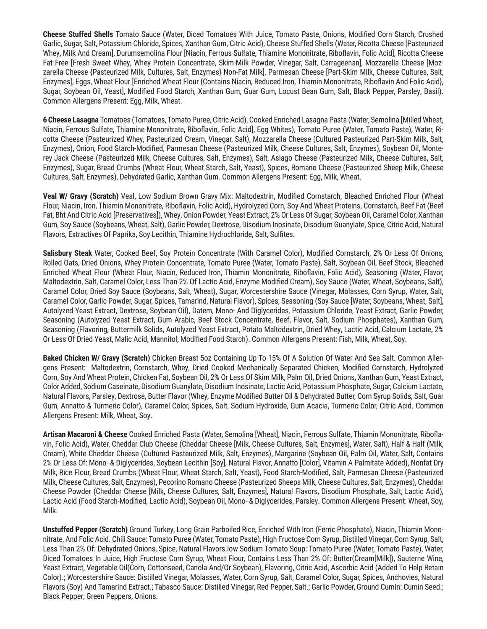**Cheese Stuffed Shells** Tomato Sauce (Water, Diced Tomatoes With Juice, Tomato Paste, Onions, Modified Corn Starch, Crushed Garlic, Sugar, Salt, Potassium Chloride, Spices, Xanthan Gum, Citric Acid), Cheese Stuffed Shells (Water, Ricotta Cheese [Pasteurized Whey, Milk And Cream], Durumsemolina Flour [Niacin, Ferrous Sulfate, Thiamine Mononitrate, Riboflavin, Folic Acid], Ricotta Cheese Fat Free [Fresh Sweet Whey, Whey Protein Concentrate, Skim-Milk Powder, Vinegar, Salt, Carrageenan], Mozzarella Cheese [Mozzarella Cheese {Pasteurized Milk, Cultures, Salt, Enzymes} Non-Fat Milk], Parmesan Cheese [Part-Skim Milk, Cheese Cultures, Salt, Enzymes], Eggs, Wheat Flour [Enriched Wheat Flour {Contains Niacin, Reduced Iron, Thiamin Mononitrate, Riboflavin And Folic Acid}, Sugar, Soybean Oil, Yeast], Modified Food Starch, Xanthan Gum, Guar Gum, Locust Bean Gum, Salt, Black Pepper, Parsley, Basil). Common Allergens Present: Egg, Milk, Wheat.

**6 Cheese Lasagna** Tomatoes (Tomatoes, Tomato Puree, Citric Acid), Cooked Enriched Lasagna Pasta (Water, Semolina [Milled Wheat, Niacin, Ferrous Sulfate, Thiamine Mononitrate, Riboflavin, Folic Acid], Egg Whites), Tomato Puree (Water, Tomato Paste), Water, Ricotta Cheese (Pasteurized Whey, Pasteurized Cream, Vinegar, Salt), Mozzarella Cheese (Cultured Pasteurized Part-Skim Milk, Salt, Enzymes), Onion, Food Starch-Modified, Parmesan Cheese (Pasteurized Milk, Cheese Cultures, Salt, Enzymes), Soybean Oil, Monterey Jack Cheese (Pasteurized Milk, Cheese Cultures, Salt, Enzymes), Salt, Asiago Cheese (Pasteurized Milk, Cheese Cultures, Salt, Enzymes), Sugar, Bread Crumbs (Wheat Flour, Wheat Starch, Salt, Yeast), Spices, Romano Cheese (Pasteurized Sheep Milk, Cheese Cultures, Salt, Enzymes), Dehydrated Garlic, Xanthan Gum. Common Allergens Present: Egg, Milk, Wheat.

**Veal W/ Gravy (Scratch)** Veal, Low Sodium Brown Gravy Mix: Maltodextrin, Modified Cornstarch, Bleached Enriched Flour (Wheat Flour, Niacin, Iron, Thiamin Mononitrate, Riboflavin, Folic Acid), Hydrolyzed Corn, Soy And Wheat Proteins, Cornstarch, Beef Fat (Beef Fat, Bht And Citric Acid [Preservatives]), Whey, Onion Powder, Yeast Extract, 2% Or Less Of Sugar, Soybean Oil, Caramel Color, Xanthan Gum, Soy Sauce (Soybeans, Wheat, Salt), Garlic Powder, Dextrose, Disodium Inosinate, Disodium Guanylate, Spice, Citric Acid, Natural Flavors, Extractives Of Paprika, Soy Lecithin, Thiamine Hydrochloride, Salt, Sulfites.

**Salisbury Steak** Water, Cooked Beef, Soy Protein Concentrate (With Caramel Color), Modified Cornstarch, 2% Or Less Of Onions, Rolled Oats, Dried Onions, Whey Protein Concentrate, Tomato Puree (Water, Tomato Paste), Salt, Soybean Oil, Beef Stock, Bleached Enriched Wheat Flour (Wheat Flour, Niacin, Reduced Iron, Thiamin Mononitrate, Riboflavin, Folic Acid), Seasoning (Water, Flavor, Maltodextrin, Salt, Caramel Color, Less Than 2% Of Lactic Acid, Enzyme Modified Cream), Soy Sauce (Water, Wheat, Soybeans, Salt), Caramel Color, Dried Soy Sauce (Soybeans, Salt, Wheat), Sugar, Worcestershire Sauce (Vinegar, Molasses, Corn Syrup, Water, Salt, Caramel Color, Garlic Powder, Sugar, Spices, Tamarind, Natural Flavor), Spices, Seasoning (Soy Sauce [Water, Soybeans, Wheat, Salt], Autolyzed Yeast Extract, Dextrose, Soybean Oil), Datem, Mono- And Diglycerides, Potassium Chloride, Yeast Extract, Garlic Powder, Seasoning (Autolyzed Yeast Extract, Gum Arabic, Beef Stock Concentrate, Beef, Flavor, Salt, Sodium Phosphates), Xanthan Gum, Seasoning (Flavoring, Buttermilk Solids, Autolyzed Yeast Extract, Potato Maltodextrin, Dried Whey, Lactic Acid, Calcium Lactate, 2% Or Less Of Dried Yeast, Malic Acid, Mannitol, Modified Food Starch). Common Allergens Present: Fish, Milk, Wheat, Soy.

**Baked Chicken W/ Gravy (Scratch)** Chicken Breast 5oz Containing Up To 15% Of A Solution Of Water And Sea Salt. Common Allergens Present: Maltodextrin, Cornstarch, Whey, Dried Cooked Mechanically Separated Chicken, Modified Cornstarch, Hydrolyzed Corn, Soy And Wheat Protein, Chicken Fat, Soybean Oil, 2% Or Less Of Skim Milk, Palm Oil, Dried Onions, Xanthan Gum, Yeast Extract, Color Added, Sodium Caseinate, Disodium Guanylate, Disodium Inosinate, Lactic Acid, Potassium Phosphate, Sugar, Calcium Lactate, Natural Flavors, Parsley, Dextrose, Butter Flavor (Whey, Enzyme Modified Butter Oil & Dehydrated Butter, Corn Syrup Solids, Salt, Guar Gum, Annatto & Turmeric Color), Caramel Color, Spices, Salt, Sodium Hydroxide, Gum Acacia, Turmeric Color, Citric Acid. Common Allergens Present: Milk, Wheat, Soy.

**Artisan Macaroni & Cheese** Cooked Enriched Pasta (Water, Semolina [Wheat], Niacin, Ferrous Sulfate, Thiamin Mononitrate, Riboflavin, Folic Acid), Water, Cheddar Club Cheese (Cheddar Cheese [Milk, Cheese Cultures, Salt, Enzymes], Water, Salt), Half & Half (Milk, Cream), White Cheddar Cheese (Cultured Pasteurized Milk, Salt, Enzymes), Margarine (Soybean Oil, Palm Oil, Water, Salt, Contains 2% Or Less Of: Mono- & Diglycerides, Soybean Lecithin [Soy], Natural Flavor, Annatto [Color], Vitamin A Palmitate Added), Nonfat Dry Milk, Rice Flour, Bread Crumbs (Wheat Flour, Wheat Starch, Salt, Yeast), Food Starch-Modified, Salt, Parmesan Cheese (Pasteurized Milk, Cheese Cultures, Salt, Enzymes), Pecorino Romano Cheese (Pasteurized Sheeps Milk, Cheese Cultures, Salt, Enzymes), Cheddar Cheese Powder (Cheddar Cheese [Milk, Cheese Cultures, Salt, Enzymes], Natural Flavors, Disodium Phosphate, Salt, Lactic Acid), Lactic Acid (Food Starch-Modified, Lactic Acid), Soybean Oil, Mono- & Diglycerides, Parsley. Common Allergens Present: Wheat, Soy, Milk.

**Unstuffed Pepper (Scratch)** Ground Turkey, Long Grain Parboiled Rice, Enriched With Iron (Ferric Phosphate), Niacin, Thiamin Mononitrate, And Folic Acid. Chili Sauce: Tomato Puree (Water, Tomato Paste), High Fructose Corn Syrup, Distilled Vinegar, Corn Syrup, Salt, Less Than 2% Of: Dehydrated Onions, Spice, Natural Flavors.low Sodium Tomato Soup: Tomato Puree (Water, Tomato Paste), Water, Diced Tomatoes In Juice, High Fructose Corn Syrup, Wheat Flour, Contains Less Than 2% Of: Butter(Cream[Milk]), Sauterne Wine, Yeast Extract, Vegetable Oil(Corn, Cottonseed, Canola And/Or Soybean), Flavoring, Citric Acid, Ascorbic Acid (Added To Help Retain Color).; Worcestershire Sauce: Distilled Vinegar, Molasses, Water, Corn Syrup, Salt, Caramel Color, Sugar, Spices, Anchovies, Natural Flavors (Soy) And Tamarind Extract.; Tabasco Sauce: Distilled Vinegar, Red Pepper, Salt.; Garlic Powder, Ground Cumin: Cumin Seed.; Black Pepper; Green Peppers, Onions.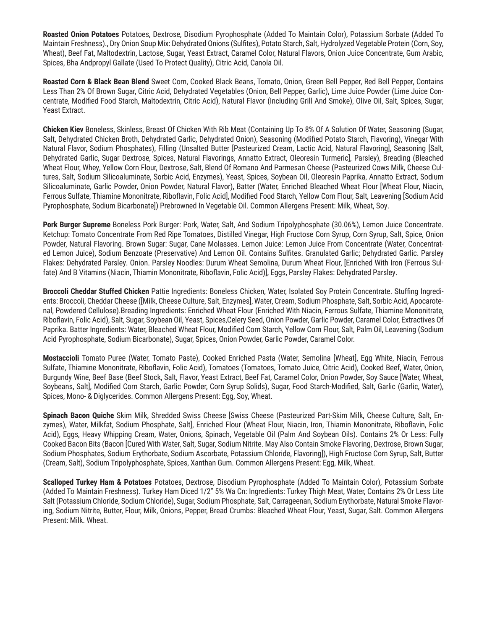**Roasted Onion Potatoes** Potatoes, Dextrose, Disodium Pyrophosphate (Added To Maintain Color), Potassium Sorbate (Added To Maintain Freshness)., Dry Onion Soup Mix: Dehydrated Onions (Sulfites), Potato Starch, Salt, Hydrolyzed Vegetable Protein (Corn, Soy, Wheat), Beef Fat, Maltodextrin, Lactose, Sugar, Yeast Extract, Caramel Color, Natural Flavors, Onion Juice Concentrate, Gum Arabic, Spices, Bha Andpropyl Gallate (Used To Protect Quality), Citric Acid, Canola Oil.

**Roasted Corn & Black Bean Blend** Sweet Corn, Cooked Black Beans, Tomato, Onion, Green Bell Pepper, Red Bell Pepper, Contains Less Than 2% Of Brown Sugar, Citric Acid, Dehydrated Vegetables (Onion, Bell Pepper, Garlic), Lime Juice Powder (Lime Juice Concentrate, Modified Food Starch, Maltodextrin, Citric Acid), Natural Flavor (Including Grill And Smoke), Olive Oil, Salt, Spices, Sugar, Yeast Extract.

**Chicken Kiev** Boneless, Skinless, Breast Of Chicken With Rib Meat (Containing Up To 8% Of A Solution Of Water, Seasoning (Sugar, Salt, Dehydrated Chicken Broth, Dehydrated Garlic, Dehydrated Onion), Seasoning (Modified Potato Starch, Flavoring), Vinegar With Natural Flavor, Sodium Phosphates), Filling (Unsalted Butter [Pasteurized Cream, Lactic Acid, Natural Flavoring], Seasoning [Salt, Dehydrated Garlic, Sugar Dextrose, Spices, Natural Flavorings, Annatto Extract, Oleoresin Turmeric], Parsley), Breading (Bleached Wheat Flour, Whey, Yellow Corn Flour, Dextrose, Salt, Blend Of Romano And Parmesan Cheese (Pasteurized Cows Milk, Cheese Cultures, Salt, Sodium Silicoaluminate, Sorbic Acid, Enzymes), Yeast, Spices, Soybean Oil, Oleoresin Paprika, Annatto Extract, Sodium Silicoaluminate, Garlic Powder, Onion Powder, Natural Flavor), Batter (Water, Enriched Bleached Wheat Flour [Wheat Flour, Niacin, Ferrous Sulfate, Thiamine Mononitrate, Riboflavin, Folic Acid], Modified Food Starch, Yellow Corn Flour, Salt, Leavening [Sodium Acid Pyrophosphate, Sodium Bicarbonate]) Prebrowned In Vegetable Oil. Common Allergens Present: Milk, Wheat, Soy.

**Pork Burger Supreme** Boneless Pork Burger: Pork, Water, Salt, And Sodium Tripolyphosphate (30.06%), Lemon Juice Concentrate. Ketchup: Tomato Concentrate From Red Ripe Tomatoes, Distilled Vinegar, High Fructose Corn Syrup, Corn Syrup, Salt, Spice, Onion Powder, Natural Flavoring. Brown Sugar: Sugar, Cane Molasses. Lemon Juice: Lemon Juice From Concentrate (Water, Concentrated Lemon Juice), Sodium Benzoate (Preservative) And Lemon Oil. Contains Sulfites. Granulated Garlic; Dehydrated Garlic. Parsley Flakes: Dehydrated Parsley. Onion. Parsley Noodles: Durum Wheat Semolina, Durum Wheat Flour, [Enriched With Iron (Ferrous Sulfate) And B Vitamins (Niacin, Thiamin Mononitrate, Riboflavin, Folic Acid)], Eggs, Parsley Flakes: Dehydrated Parsley.

**Broccoli Cheddar Stuffed Chicken** Pattie Ingredients: Boneless Chicken, Water, Isolated Soy Protein Concentrate. Stuffing Ingredients: Broccoli, Cheddar Cheese ([Milk, Cheese Culture, Salt, Enzymes], Water, Cream, Sodium Phosphate, Salt, Sorbic Acid, Apocarotenal, Powdered Cellulose).Breading Ingredients: Enriched Wheat Flour (Enriched With Niacin, Ferrous Sulfate, Thiamine Mononitrate, Riboflavin, Folic Acid), Salt, Sugar, Soybean Oil, Yeast, Spices,Celery Seed, Onion Powder, Garlic Powder, Caramel Color, Extractives Of Paprika. Batter Ingredients: Water, Bleached Wheat Flour, Modified Corn Starch, Yellow Corn Flour, Salt, Palm Oil, Leavening (Sodium Acid Pyrophosphate, Sodium Bicarbonate), Sugar, Spices, Onion Powder, Garlic Powder, Caramel Color.

**Mostaccioli** Tomato Puree (Water, Tomato Paste), Cooked Enriched Pasta (Water, Semolina [Wheat], Egg White, Niacin, Ferrous Sulfate, Thiamine Mononitrate, Riboflavin, Folic Acid), Tomatoes (Tomatoes, Tomato Juice, Citric Acid), Cooked Beef, Water, Onion, Burgundy Wine, Beef Base (Beef Stock, Salt, Flavor, Yeast Extract, Beef Fat, Caramel Color, Onion Powder, Soy Sauce [Water, Wheat, Soybeans, Salt], Modified Corn Starch, Garlic Powder, Corn Syrup Solids), Sugar, Food Starch-Modified, Salt, Garlic (Garlic, Water), Spices, Mono- & Diglycerides. Common Allergens Present: Egg, Soy, Wheat.

**Spinach Bacon Quiche** Skim Milk, Shredded Swiss Cheese [Swiss Cheese (Pasteurized Part-Skim Milk, Cheese Culture, Salt, Enzymes), Water, Milkfat, Sodium Phosphate, Salt], Enriched Flour (Wheat Flour, Niacin, Iron, Thiamin Mononitrate, Riboflavin, Folic Acid), Eggs, Heavy Whipping Cream, Water, Onions, Spinach, Vegetable Oil (Palm And Soybean Oils). Contains 2% Or Less: Fully Cooked Bacon Bits (Bacon [Cured With Water, Salt, Sugar, Sodium Nitrite. May Also Contain Smoke Flavoring, Dextrose, Brown Sugar, Sodium Phosphates, Sodium Erythorbate, Sodium Ascorbate, Potassium Chloride, Flavoring]), High Fructose Corn Syrup, Salt, Butter (Cream, Salt), Sodium Tripolyphosphate, Spices, Xanthan Gum. Common Allergens Present: Egg, Milk, Wheat.

**Scalloped Turkey Ham & Potatoes** Potatoes, Dextrose, Disodium Pyrophosphate (Added To Maintain Color), Potassium Sorbate (Added To Maintain Freshness). Turkey Ham Diced 1/2" 5% Wa Cn: Ingredients: Turkey Thigh Meat, Water, Contains 2% Or Less Lite Salt (Potassium Chloride, Sodium Chloride), Sugar, Sodium Phosphate, Salt, Carrageenan, Sodium Erythorbate, Natural Smoke Flavoring, Sodium Nitrite, Butter, Flour, Milk, Onions, Pepper, Bread Crumbs: Bleached Wheat Flour, Yeast, Sugar, Salt. Common Allergens Present: Milk. Wheat.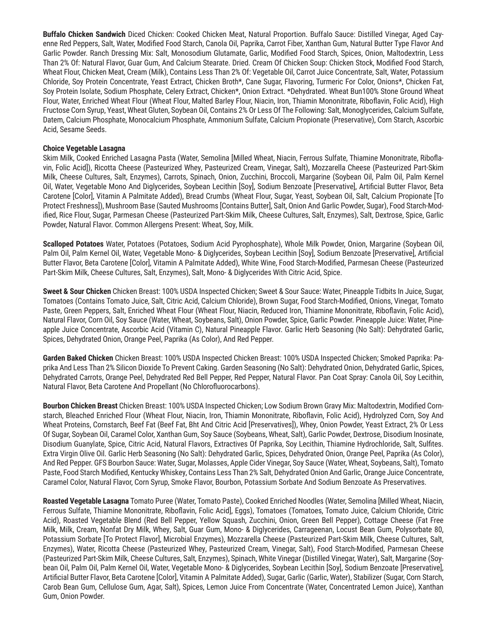**Buffalo Chicken Sandwich** Diced Chicken: Cooked Chicken Meat, Natural Proportion. Buffalo Sauce: Distilled Vinegar, Aged Cayenne Red Peppers, Salt, Water, Modified Food Starch, Canola Oil, Paprika, Carrot Fiber, Xanthan Gum, Natural Butter Type Flavor And Garlic Powder. Ranch Dressing Mix: Salt, Monosodium Glutamate, Garlic, Modified Food Starch, Spices, Onion, Maltodextrin, Less Than 2% Of: Natural Flavor, Guar Gum, And Calcium Stearate. Dried. Cream Of Chicken Soup: Chicken Stock, Modified Food Starch, Wheat Flour, Chicken Meat, Cream (Milk), Contains Less Than 2% Of: Vegetable Oil, Carrot Juice Concentrate, Salt, Water, Potassium Chloride, Soy Protein Concentrate, Yeast Extract, Chicken Broth\*, Cane Sugar, Flavoring, Turmeric For Color, Onions\*, Chicken Fat, Soy Protein Isolate, Sodium Phosphate, Celery Extract, Chicken\*, Onion Extract. \*Dehydrated. Wheat Bun100% Stone Ground Wheat Flour, Water, Enriched Wheat Flour (Wheat Flour, Malted Barley Flour, Niacin, Iron, Thiamin Mononitrate, Riboflavin, Folic Acid), High Fructose Corn Syrup, Yeast, Wheat Gluten, Soybean Oil, Contains 2% Or Less Of The Following: Salt, Monoglycerides, Calcium Sulfate, Datem, Calcium Phosphate, Monocalcium Phosphate, Ammonium Sulfate, Calcium Propionate (Preservative), Corn Starch, Ascorbic Acid, Sesame Seeds.

### **Choice Vegetable Lasagna**

Skim Milk, Cooked Enriched Lasagna Pasta (Water, Semolina [Milled Wheat, Niacin, Ferrous Sulfate, Thiamine Mononitrate, Riboflavin, Folic Acid]), Ricotta Cheese (Pasteurized Whey, Pasteurized Cream, Vinegar, Salt), Mozzarella Cheese (Pasteurized Part-Skim Milk, Cheese Cultures, Salt, Enzymes), Carrots, Spinach, Onion, Zucchini, Broccoli, Margarine (Soybean Oil, Palm Oil, Palm Kernel Oil, Water, Vegetable Mono And Diglycerides, Soybean Lecithin [Soy], Sodium Benzoate [Preservative], Artificial Butter Flavor, Beta Carotene [Color], Vitamin A Palmitate Added), Bread Crumbs (Wheat Flour, Sugar, Yeast, Soybean Oil, Salt, Calcium Propionate [To Protect Freshness]), Mushroom Base (Sauted Mushrooms [Contains Butter], Salt, Onion And Garlic Powder, Sugar), Food Starch-Modified, Rice Flour, Sugar, Parmesan Cheese (Pasteurized Part-Skim Milk, Cheese Cultures, Salt, Enzymes), Salt, Dextrose, Spice, Garlic Powder, Natural Flavor. Common Allergens Present: Wheat, Soy, Milk.

**Scalloped Potatoes** Water, Potatoes (Potatoes, Sodium Acid Pyrophosphate), Whole Milk Powder, Onion, Margarine (Soybean Oil, Palm Oil, Palm Kernel Oil, Water, Vegetable Mono- & Diglycerides, Soybean Lecithin [Soy], Sodium Benzoate [Preservative], Artificial Butter Flavor, Beta Carotene [Color], Vitamin A Palmitate Added), White Wine, Food Starch-Modified, Parmesan Cheese (Pasteurized Part-Skim Milk, Cheese Cultures, Salt, Enzymes), Salt, Mono- & Diglycerides With Citric Acid, Spice.

**Sweet & Sour Chicken** Chicken Breast: 100% USDA Inspected Chicken; Sweet & Sour Sauce: Water, Pineapple Tidbits In Juice, Sugar, Tomatoes (Contains Tomato Juice, Salt, Citric Acid, Calcium Chloride), Brown Sugar, Food Starch-Modified, Onions, Vinegar, Tomato Paste, Green Peppers, Salt, Enriched Wheat Flour (Wheat Flour, Niacin, Reduced Iron, Thiamine Mononitrate, Riboflavin, Folic Acid), Natural Flavor, Corn Oil, Soy Sauce (Water, Wheat, Soybeans, Salt), Onion Powder, Spice, Garlic Powder. Pineapple Juice: Water, Pineapple Juice Concentrate, Ascorbic Acid (Vitamin C), Natural Pineapple Flavor. Garlic Herb Seasoning (No Salt): Dehydrated Garlic, Spices, Dehydrated Onion, Orange Peel, Paprika (As Color), And Red Pepper.

**Garden Baked Chicken** Chicken Breast: 100% USDA Inspected Chicken Breast: 100% USDA Inspected Chicken; Smoked Paprika: Paprika And Less Than 2% Silicon Dioxide To Prevent Caking. Garden Seasoning (No Salt): Dehydrated Onion, Dehydrated Garlic, Spices, Dehydrated Carrots, Orange Peel, Dehydrated Red Bell Pepper, Red Pepper, Natural Flavor. Pan Coat Spray: Canola Oil, Soy Lecithin, Natural Flavor, Beta Carotene And Propellant (No Chlorofluorocarbons).

**Bourbon Chicken Breast** Chicken Breast: 100% USDA Inspected Chicken; Low Sodium Brown Gravy Mix: Maltodextrin, Modified Cornstarch, Bleached Enriched Flour (Wheat Flour, Niacin, Iron, Thiamin Mononitrate, Riboflavin, Folic Acid), Hydrolyzed Corn, Soy And Wheat Proteins, Cornstarch, Beef Fat (Beef Fat, Bht And Citric Acid [Preservatives]), Whey, Onion Powder, Yeast Extract, 2% Or Less Of Sugar, Soybean Oil, Caramel Color, Xanthan Gum, Soy Sauce (Soybeans, Wheat, Salt), Garlic Powder, Dextrose, Disodium Inosinate, Disodium Guanylate, Spice, Citric Acid, Natural Flavors, Extractives Of Paprika, Soy Lecithin, Thiamine Hydrochloride, Salt, Sulfites. Extra Virgin Olive Oil. Garlic Herb Seasoning (No Salt): Dehydrated Garlic, Spices, Dehydrated Onion, Orange Peel, Paprika (As Color), And Red Pepper. GFS Bourbon Sauce: Water, Sugar, Molasses, Apple Cider Vinegar, Soy Sauce (Water, Wheat, Soybeans, Salt), Tomato Paste, Food Starch Modified, Kentucky Whiskey, Contains Less Than 2% Salt, Dehydrated Onion And Garlic, Orange Juice Concentrate, Caramel Color, Natural Flavor, Corn Syrup, Smoke Flavor, Bourbon, Potassium Sorbate And Sodium Benzoate As Preservatives.

**Roasted Vegetable Lasagna** Tomato Puree (Water, Tomato Paste), Cooked Enriched Noodles (Water, Semolina [Milled Wheat, Niacin, Ferrous Sulfate, Thiamine Mononitrate, Riboflavin, Folic Acid], Eggs), Tomatoes (Tomatoes, Tomato Juice, Calcium Chloride, Citric Acid), Roasted Vegetable Blend (Red Bell Pepper, Yellow Squash, Zucchini, Onion, Green Bell Pepper), Cottage Cheese (Fat Free Milk, Milk, Cream, Nonfat Dry Milk, Whey, Salt, Guar Gum, Mono- & Diglycerides, Carrageenan, Locust Bean Gum, Polysorbate 80, Potassium Sorbate [To Protect Flavor], Microbial Enzymes), Mozzarella Cheese (Pasteurized Part-Skim Milk, Cheese Cultures, Salt, Enzymes), Water, Ricotta Cheese (Pasteurized Whey, Pasteurized Cream, Vinegar, Salt), Food Starch-Modified, Parmesan Cheese (Pasteurized Part-Skim Milk, Cheese Cultures, Salt, Enzymes), Spinach, White Vinegar (Distilled Vinegar, Water), Salt, Margarine (Soybean Oil, Palm Oil, Palm Kernel Oil, Water, Vegetable Mono- & Diglycerides, Soybean Lecithin [Soy], Sodium Benzoate [Preservative], Artificial Butter Flavor, Beta Carotene [Color], Vitamin A Palmitate Added), Sugar, Garlic (Garlic, Water), Stabilizer (Sugar, Corn Starch, Carob Bean Gum, Cellulose Gum, Agar, Salt), Spices, Lemon Juice From Concentrate (Water, Concentrated Lemon Juice), Xanthan Gum, Onion Powder.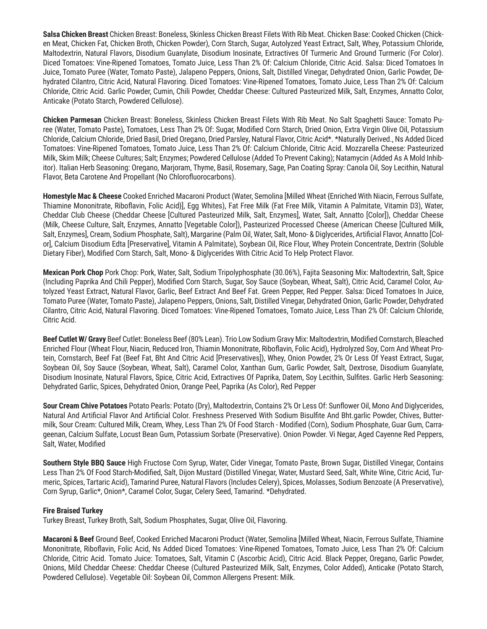**Salsa Chicken Breast** Chicken Breast: Boneless, Skinless Chicken Breast Filets With Rib Meat. Chicken Base: Cooked Chicken (Chicken Meat, Chicken Fat, Chicken Broth, Chicken Powder), Corn Starch, Sugar, Autolyzed Yeast Extract, Salt, Whey, Potassium Chloride, Maltodextrin, Natural Flavors, Disodium Guanylate, Disodium Inosinate, Extractives Of Turmeric And Ground Turmeric (For Color). Diced Tomatoes: Vine-Ripened Tomatoes, Tomato Juice, Less Than 2% Of: Calcium Chloride, Citric Acid. Salsa: Diced Tomatoes In Juice, Tomato Puree (Water, Tomato Paste), Jalapeno Peppers, Onions, Salt, Distilled Vinegar, Dehydrated Onion, Garlic Powder, Dehydrated Cilantro, Citric Acid, Natural Flavoring. Diced Tomatoes: Vine-Ripened Tomatoes, Tomato Juice, Less Than 2% Of: Calcium Chloride, Citric Acid. Garlic Powder, Cumin, Chili Powder, Cheddar Cheese: Cultured Pasteurized Milk, Salt, Enzymes, Annatto Color, Anticake (Potato Starch, Powdered Cellulose).

**Chicken Parmesan** Chicken Breast: Boneless, Skinless Chicken Breast Filets With Rib Meat. No Salt Spaghetti Sauce: Tomato Puree (Water, Tomato Paste), Tomatoes, Less Than 2% Of: Sugar, Modified Corn Starch, Dried Onion, Extra Virgin Olive Oil, Potassium Chloride, Calcium Chloride, Dried Basil, Dried Oregano, Dried Parsley, Natural Flavor, Citric Acid\*. \*Naturally Derived., Ns Added Diced Tomatoes: Vine-Ripened Tomatoes, Tomato Juice, Less Than 2% Of: Calcium Chloride, Citric Acid. Mozzarella Cheese: Pasteurized Milk, Skim Milk; Cheese Cultures; Salt; Enzymes; Powdered Cellulose (Added To Prevent Caking); Natamycin (Added As A Mold Inhibitor). Italian Herb Seasoning: Oregano, Marjoram, Thyme, Basil, Rosemary, Sage, Pan Coating Spray: Canola Oil, Soy Lecithin, Natural Flavor, Beta Carotene And Propellant (No Chlorofluorocarbons).

**Homestyle Mac & Cheese** Cooked Enriched Macaroni Product (Water, Semolina [Milled Wheat {Enriched With Niacin, Ferrous Sulfate, Thiamine Mononitrate, Riboflavin, Folic Acid}], Egg Whites), Fat Free Milk (Fat Free Milk, Vitamin A Palmitate, Vitamin D3), Water, Cheddar Club Cheese (Cheddar Cheese [Cultured Pasteurized Milk, Salt, Enzymes], Water, Salt, Annatto [Color]), Cheddar Cheese (Milk, Cheese Culture, Salt, Enzymes, Annatto [Vegetable Color]), Pasteurized Processed Cheese (American Cheese [Cultured Milk, Salt, Enzymes], Cream, Sodium Phosphate, Salt), Margarine (Palm Oil, Water, Salt, Mono- & Diglycerides, Artificial Flavor, Annatto [Color], Calcium Disodium Edta [Preservative], Vitamin A Palmitate), Soybean Oil, Rice Flour, Whey Protein Concentrate, Dextrin (Soluble Dietary Fiber), Modified Corn Starch, Salt, Mono- & Diglycerides With Citric Acid To Help Protect Flavor.

**Mexican Pork Chop** Pork Chop: Pork, Water, Salt, Sodium Tripolyphosphate (30.06%), Fajita Seasoning Mix: Maltodextrin, Salt, Spice (Including Paprika And Chili Pepper), Modified Corn Starch, Sugar, Soy Sauce (Soybean, Wheat, Salt), Citric Acid, Caramel Color, Autolyzed Yeast Extract, Natural Flavor, Garlic, Beef Extract And Beef Fat. Green Pepper, Red Pepper. Salsa: Diced Tomatoes In Juice, Tomato Puree (Water, Tomato Paste), Jalapeno Peppers, Onions, Salt, Distilled Vinegar, Dehydrated Onion, Garlic Powder, Dehydrated Cilantro, Citric Acid, Natural Flavoring. Diced Tomatoes: Vine-Ripened Tomatoes, Tomato Juice, Less Than 2% Of: Calcium Chloride, Citric Acid.

**Beef Cutlet W/ Gravy** Beef Cutlet: Boneless Beef (80% Lean). Trio Low Sodium Gravy Mix: Maltodextrin, Modified Cornstarch, Bleached Enriched Flour (Wheat Flour, Niacin, Reduced Iron, Thiamin Mononitrate, Riboflavin, Folic Acid), Hydrolyzed Soy, Corn And Wheat Protein, Cornstarch, Beef Fat (Beef Fat, Bht And Citric Acid [Preservatives]), Whey, Onion Powder, 2% Or Less Of Yeast Extract, Sugar, Soybean Oil, Soy Sauce (Soybean, Wheat, Salt), Caramel Color, Xanthan Gum, Garlic Powder, Salt, Dextrose, Disodium Guanylate, Disodium Inosinate, Natural Flavors, Spice, Citric Acid, Extractives Of Paprika, Datem, Soy Lecithin, Sulfites. Garlic Herb Seasoning: Dehydrated Garlic, Spices, Dehydrated Onion, Orange Peel, Paprika (As Color), Red Pepper

**Sour Cream Chive Potatoes** Potato Pearls: Potato (Dry), Maltodextrin, Contains 2% Or Less Of: Sunflower Oil, Mono And Diglycerides, Natural And Artificial Flavor And Artificial Color. Freshness Preserved With Sodium Bisulfite And Bht.garlic Powder, Chives, Buttermilk, Sour Cream: Cultured Milk, Cream, Whey, Less Than 2% Of Food Starch - Modified (Corn), Sodium Phosphate, Guar Gum, Carrageenan, Calcium Sulfate, Locust Bean Gum, Potassium Sorbate (Preservative). Onion Powder. Vi Negar, Aged Cayenne Red Peppers, Salt, Water, Modified

**Southern Style BBQ Sauce** High Fructose Corn Syrup, Water, Cider Vinegar, Tomato Paste, Brown Sugar, Distilled Vinegar, Contains Less Than 2% Of Food Starch-Modified, Salt, Dijon Mustard (Distilled Vinegar, Water, Mustard Seed, Salt, White Wine, Citric Acid, Turmeric, Spices, Tartaric Acid), Tamarind Puree, Natural Flavors (Includes Celery), Spices, Molasses, Sodium Benzoate (A Preservative), Corn Syrup, Garlic\*, Onion\*, Caramel Color, Sugar, Celery Seed, Tamarind. \*Dehydrated.

### **Fire Braised Turkey**

Turkey Breast, Turkey Broth, Salt, Sodium Phosphates, Sugar, Olive Oil, Flavoring.

**Macaroni & Beef** Ground Beef, Cooked Enriched Macaroni Product (Water, Semolina [Milled Wheat, Niacin, Ferrous Sulfate, Thiamine Mononitrate, Riboflavin, Folic Acid, Ns Added Diced Tomatoes: Vine-Ripened Tomatoes, Tomato Juice, Less Than 2% Of: Calcium Chloride, Citric Acid. Tomato Juice: Tomatoes, Salt, Vitamin C (Ascorbic Acid), Citric Acid. Black Pepper, Oregano, Garlic Powder, Onions, Mild Cheddar Cheese: Cheddar Cheese (Cultured Pasteurized Milk, Salt, Enzymes, Color Added), Anticake (Potato Starch, Powdered Cellulose). Vegetable Oil: Soybean Oil, Common Allergens Present: Milk.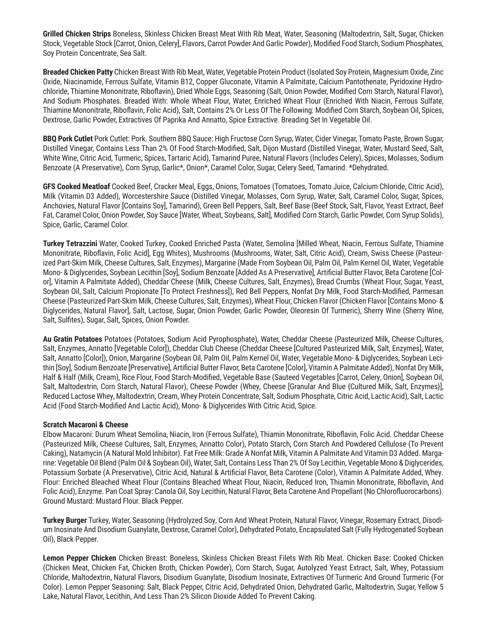**Grilled Chicken Strips** Boneless, Skinless Chicken Breast Meat With Rib Meat, Water, Seasoning (Maltodextrin, Salt, Sugar, Chicken Stock, Vegetable Stock [Carrot, Onion, Celery], Flavors, Carrot Powder And Garlic Powder), Modified Food Starch, Sodium Phosphates, Soy Protein Concentrate, Sea Salt.

**Breaded Chicken Patty** Chicken Breast With Rib Meat, Water, Vegetable Protein Product (Isolated Soy Protein, Magnesium Oxide, Zinc Oxide, Niacinamide, Ferrous Sulfate, Vitamin B12, Copper Gluconate, Vitamin A Palmitate, Calcium Pantothenate, Pyridoxine Hydrochloride, Thiamine Mononitrate, Riboflavin), Dried Whole Eggs, Seasoning (Salt, Onion Powder, Modified Corn Starch, Natural Flavor), And Sodium Phosphates. Breaded With: Whole Wheat Flour, Water, Enriched Wheat Flour (Enriched With Niacin, Ferrous Sulfate, Thiamine Mononitrate, Riboflavin, Folic Acid), Salt, Contains 2% Or Less Of The Following: Modified Corn Starch, Soybean Oil, Spices, Dextrose, Garlic Powder, Extractives Of Paprika And Annatto, Spice Extractive. Breading Set In Vegetable Oil.

**BBQ Pork Cutlet** Pork Cutlet: Pork. Southern BBQ Sauce: High Fructose Corn Syrup, Water, Cider Vinegar, Tomato Paste, Brown Sugar, Distilled Vinegar, Contains Less Than 2% Of Food Starch-Modified, Salt, Dijon Mustard (Distilled Vinegar, Water, Mustard Seed, Salt, White Wine, Citric Acid, Turmeric, Spices, Tartaric Acid), Tamarind Puree, Natural Flavors (Includes Celery), Spices, Molasses, Sodium Benzoate (A Preservative), Corn Syrup, Garlic\*, Onion\*, Caramel Color, Sugar, Celery Seed, Tamarind. \*Dehydrated.

**GFS Cooked Meatloaf** Cooked Beef, Cracker Meal, Eggs, Onions, Tomatoes (Tomatoes, Tomato Juice, Calcium Chloride, Citric Acid), Milk (Vitamin D3 Added), Worcestershire Sauce (Distilled Vinegar, Molasses, Corn Syrup, Water, Salt, Caramel Color, Sugar, Spices, Anchovies, Natural Flavor [Contains Soy], Tamarind), Green Bell Peppers, Salt, Beef Base (Beef Stock, Salt, Flavor, Yeast Extract, Beef Fat, Caramel Color, Onion Powder, Soy Sauce [Water, Wheat, Soybeans, Salt], Modified Corn Starch, Garlic Powder, Corn Syrup Solids), Spice, Garlic, Caramel Color.

**Turkey Tetrazzini** Water, Cooked Turkey, Cooked Enriched Pasta (Water, Semolina [Milled Wheat, Niacin, Ferrous Sulfate, Thiamine Mononitrate, Riboflavin, Folic Acid], Egg Whites), Mushrooms (Mushrooms, Water, Salt, Citric Acid), Cream, Swiss Cheese (Pasteurized Part-Skim Milk, Cheese Cultures, Salt, Enzymes), Margarine (Made From Soybean Oil, Palm Oil, Palm Kernel Oil, Water, Vegetable Mono- & Diglycerides, Soybean Lecithin [Soy], Sodium Benzoate [Added As A Preservative], Artificial Butter Flavor, Beta Carotene [Color], Vitamin A Palmitate Added), Cheddar Cheese (Milk, Cheese Cultures, Salt, Enzymes), Bread Crumbs (Wheat Flour, Sugar, Yeast, Soybean Oil, Salt, Calcium Propionate [To Protect Freshness]), Red Bell Peppers, Nonfat Dry Milk, Food Starch-Modified, Parmesan Cheese (Pasteurized Part-Skim Milk, Cheese Cultures, Salt, Enzymes), Wheat Flour, Chicken Flavor (Chicken Flavor [Contains Mono- & Diglycerides, Natural Flavor], Salt, Lactose, Sugar, Onion Powder, Garlic Powder, Oleoresin Of Turmeric), Sherry Wine (Sherry Wine, Salt, Sulfites), Sugar, Salt, Spices, Onion Powder.

**Au Gratin Potatoes** Potatoes (Potatoes, Sodium Acid Pyrophosphate), Water, Cheddar Cheese (Pasteurized Milk, Cheese Cultures, Salt, Enzymes, Annatto [Vegetable Color]), Cheddar Club Cheese (Cheddar Cheese [Cultured Pasteurized Milk, Salt, Enzymes], Water, Salt, Annatto [Color]), Onion, Margarine (Soybean Oil, Palm Oil, Palm Kernel Oil, Water, Vegetable Mono- & Diglycerides, Soybean Lecithin [Soy], Sodium Benzoate [Preservative], Artificial Butter Flavor, Beta Carotene [Color], Vitamin A Palmitate Added), Nonfat Dry Milk, Half & Half (Milk, Cream), Rice Flour, Food Starch-Modified, Vegetable Base (Sauteed Vegetables [Carrot, Celery, Onion], Soybean Oil, Salt, Maltodextrin, Corn Starch, Natural Flavor), Cheese Powder (Whey, Cheese [Granular And Blue {Cultured Milk, Salt, Enzymes}], Reduced Lactose Whey, Maltodextrin, Cream, Whey Protein Concentrate, Salt, Sodium Phosphate, Citric Acid, Lactic Acid), Salt, Lactic Acid (Food Starch-Modified And Lactic Acid), Mono- & Diglycerides With Citric Acid, Spice.

### **Scratch Macaroni & Cheese**

Elbow Macaroni: Durum Wheat Semolina, Niacin, Iron (Ferrous Sulfate), Thiamin Mononitrate, Riboflavin, Folic Acid. Cheddar Cheese (Pasteurized Milk, Cheese Cultures, Salt, Enzymes, Annatto Color), Potato Starch, Corn Starch And Powdered Cellulose (To Prevent Caking), Natamycin (A Natural Mold Inhibitor). Fat Free Milk: Grade A Nonfat Milk, Vitamin A Palmitate And Vitamin D3 Added. Margarine: Vegetable Oil Blend (Palm Oil & Soybean Oil), Water, Salt, Contains Less Than 2% Of Soy Lecithin, Vegetable Mono & Diglycerides, Potassium Sorbate (A Preservative), Citric Acid, Natural & Artificial Flavor, Beta Carotene (Color), Vitamin A Palmitate Added, Whey. Flour: Enriched Bleached Wheat Flour (Contains Bleached Wheat Flour, Niacin, Reduced Iron, Thiamin Mononitrate, Riboflavin, And Folic Acid), Enzyme. Pan Coat Spray: Canola Oil, Soy Lecithin, Natural Flavor, Beta Carotene And Propellant (No Chlorofluorocarbons). Ground Mustard: Mustard Flour. Black Pepper.

**Turkey Burger** Turkey, Water, Seasoning (Hydrolyzed Soy, Corn And Wheat Protein, Natural Flavor, Vinegar, Rosemary Extract, Disodium Inosinate And Disodium Guanylate, Dextrose, Caramel Color), Dehydrated Potato, Encapsulated Salt (Fully Hydrogenated Soybean Oil), Black Pepper.

**Lemon Pepper Chicken** Chicken Breast: Boneless, Skinless Chicken Breast Filets With Rib Meat. Chicken Base: Cooked Chicken (Chicken Meat, Chicken Fat, Chicken Broth, Chicken Powder), Corn Starch, Sugar, Autolyzed Yeast Extract, Salt, Whey, Potassium Chloride, Maltodextrin, Natural Flavors, Disodium Guanylate, Disodium Inosinate, Extractives Of Turmeric And Ground Turmeric (For Color). Lemon Pepper Seasoning: Salt, Black Pepper, Citric Acid, Dehydrated Onion, Dehydrated Garlic, Maltodextrin, Sugar, Yellow 5 Lake, Natural Flavor, Lecithin, And Less Than 2% Silicon Dioxide Added To Prevent Caking.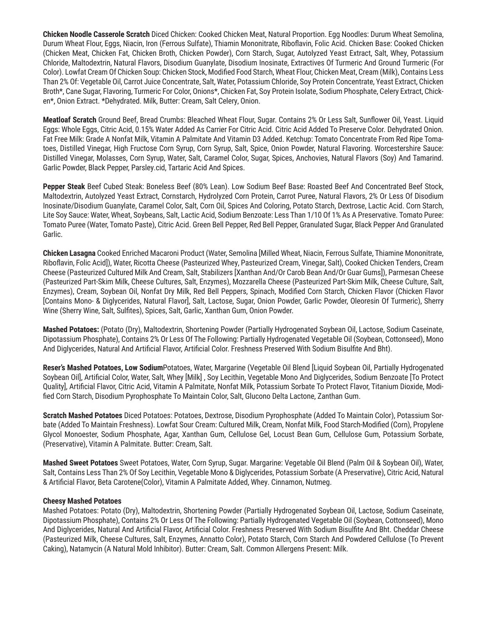**Chicken Noodle Casserole Scratch** Diced Chicken: Cooked Chicken Meat, Natural Proportion. Egg Noodles: Durum Wheat Semolina, Durum Wheat Flour, Eggs, Niacin, Iron (Ferrous Sulfate), Thiamin Mononitrate, Riboflavin, Folic Acid. Chicken Base: Cooked Chicken (Chicken Meat, Chicken Fat, Chicken Broth, Chicken Powder), Corn Starch, Sugar, Autolyzed Yeast Extract, Salt, Whey, Potassium Chloride, Maltodextrin, Natural Flavors, Disodium Guanylate, Disodium Inosinate, Extractives Of Turmeric And Ground Turmeric (For Color). Lowfat Cream Of Chicken Soup: Chicken Stock, Modified Food Starch, Wheat Flour, Chicken Meat, Cream (Milk), Contains Less Than 2% Of: Vegetable Oil, Carrot Juice Concentrate, Salt, Water, Potassium Chloride, Soy Protein Concentrate, Yeast Extract, Chicken Broth\*, Cane Sugar, Flavoring, Turmeric For Color, Onions\*, Chicken Fat, Soy Protein Isolate, Sodium Phosphate, Celery Extract, Chicken\*, Onion Extract. \*Dehydrated. Milk, Butter: Cream, Salt Celery, Onion.

**Meatloaf Scratch** Ground Beef, Bread Crumbs: Bleached Wheat Flour, Sugar. Contains 2% Or Less Salt, Sunflower Oil, Yeast. Liquid Eggs: Whole Eggs, Citric Acid, 0.15% Water Added As Carrier For Citric Acid. Citric Acid Added To Preserve Color. Dehydrated Onion. Fat Free Milk: Grade A Nonfat Milk, Vitamin A Palmitate And Vitamin D3 Added. Ketchup: Tomato Concentrate From Red Ripe Tomatoes, Distilled Vinegar, High Fructose Corn Syrup, Corn Syrup, Salt, Spice, Onion Powder, Natural Flavoring. Worcestershire Sauce: Distilled Vinegar, Molasses, Corn Syrup, Water, Salt, Caramel Color, Sugar, Spices, Anchovies, Natural Flavors (Soy) And Tamarind. Garlic Powder, Black Pepper, Parsley.cid, Tartaric Acid And Spices.

**Pepper Steak** Beef Cubed Steak: Boneless Beef (80% Lean). Low Sodium Beef Base: Roasted Beef And Concentrated Beef Stock, Maltodextrin, Autolyzed Yeast Extract, Cornstarch, Hydrolyzed Corn Protein, Carrot Puree, Natural Flavors, 2% Or Less Of Disodium Inosinate/Disodium Guanylate, Caramel Color, Salt, Corn Oil, Spices And Coloring, Potato Starch, Dextrose, Lactic Acid. Corn Starch, Lite Soy Sauce: Water, Wheat, Soybeans, Salt, Lactic Acid, Sodium Benzoate: Less Than 1/10 Of 1% As A Preservative. Tomato Puree: Tomato Puree (Water, Tomato Paste), Citric Acid. Green Bell Pepper, Red Bell Pepper, Granulated Sugar, Black Pepper And Granulated Garlic.

**Chicken Lasagna** Cooked Enriched Macaroni Product (Water, Semolina [Milled Wheat, Niacin, Ferrous Sulfate, Thiamine Mononitrate, Riboflavin, Folic Acid]), Water, Ricotta Cheese (Pasteurized Whey, Pasteurized Cream, Vinegar, Salt), Cooked Chicken Tenders, Cream Cheese (Pasteurized Cultured Milk And Cream, Salt, Stabilizers [Xanthan And/Or Carob Bean And/Or Guar Gums]), Parmesan Cheese (Pasteurized Part-Skim Milk, Cheese Cultures, Salt, Enzymes), Mozzarella Cheese (Pasteurized Part-Skim Milk, Cheese Culture, Salt, Enzymes), Cream, Soybean Oil, Nonfat Dry Milk, Red Bell Peppers, Spinach, Modified Corn Starch, Chicken Flavor (Chicken Flavor [Contains Mono- & Diglycerides, Natural Flavor], Salt, Lactose, Sugar, Onion Powder, Garlic Powder, Oleoresin Of Turmeric), Sherry Wine (Sherry Wine, Salt, Sulfites), Spices, Salt, Garlic, Xanthan Gum, Onion Powder.

**Mashed Potatoes:** (Potato (Dry), Maltodextrin, Shortening Powder (Partially Hydrogenated Soybean Oil, Lactose, Sodium Caseinate, Dipotassium Phosphate), Contains 2% Or Less Of The Following: Partially Hydrogenated Vegetable Oil (Soybean, Cottonseed), Mono And Diglycerides, Natural And Artificial Flavor, Artificial Color. Freshness Preserved With Sodium Bisulfite And Bht).

**Reser's Mashed Potatoes, Low Sodium**Potatoes, Water, Margarine (Vegetable Oil Blend [Liquid Soybean Oil, Partially Hydrogenated Soybean Oil], Artificial Color, Water, Salt, Whey [Milk] , Soy Lecithin, Vegetable Mono And Diglycerides, Sodium Benzoate [To Protect Quality], Artificial Flavor, Citric Acid, Vitamin A Palmitate, Nonfat Milk, Potassium Sorbate To Protect Flavor, Titanium Dioxide, Modified Corn Starch, Disodium Pyrophosphate To Maintain Color, Salt, Glucono Delta Lactone, Zanthan Gum.

**Scratch Mashed Potatoes** Diced Potatoes: Potatoes, Dextrose, Disodium Pyrophosphate (Added To Maintain Color), Potassium Sorbate (Added To Maintain Freshness). Lowfat Sour Cream: Cultured Milk, Cream, Nonfat Milk, Food Starch-Modified (Corn), Propylene Glycol Monoester, Sodium Phosphate, Agar, Xanthan Gum, Cellulose Gel, Locust Bean Gum, Cellulose Gum, Potassium Sorbate, (Preservative), Vitamin A Palmitate. Butter: Cream, Salt.

**Mashed Sweet Potatoes** Sweet Potatoes, Water, Corn Syrup, Sugar. Margarine: Vegetable Oil Blend (Palm Oil & Soybean Oil), Water, Salt, Contains Less Than 2% Of Soy Lecithin, Vegetable Mono & Diglycerides, Potassium Sorbate (A Preservative), Citric Acid, Natural & Artificial Flavor, Beta Carotene(Color), Vitamin A Palmitate Added, Whey. Cinnamon, Nutmeg.

### **Cheesy Mashed Potatoes**

Mashed Potatoes: Potato (Dry), Maltodextrin, Shortening Powder (Partially Hydrogenated Soybean Oil, Lactose, Sodium Caseinate, Dipotassium Phosphate), Contains 2% Or Less Of The Following: Partially Hydrogenated Vegetable Oil (Soybean, Cottonseed), Mono And Diglycerides, Natural And Artificial Flavor, Artificial Color. Freshness Preserved With Sodium Bisulfite And Bht. Cheddar Cheese (Pasteurized Milk, Cheese Cultures, Salt, Enzymes, Annatto Color), Potato Starch, Corn Starch And Powdered Cellulose (To Prevent Caking), Natamycin (A Natural Mold Inhibitor). Butter: Cream, Salt. Common Allergens Present: Milk.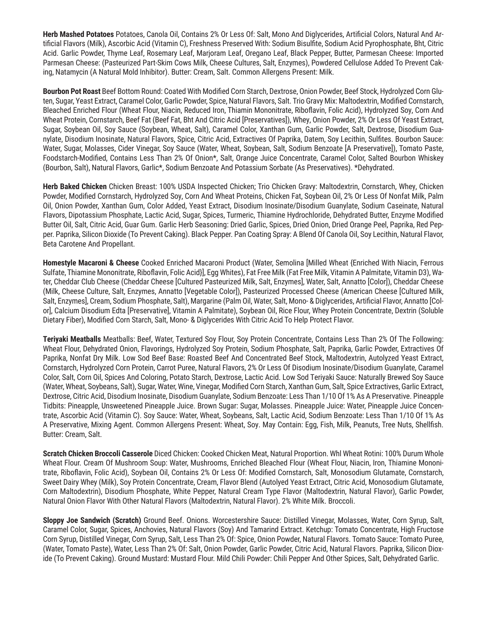**Herb Mashed Potatoes** Potatoes, Canola Oil, Contains 2% Or Less Of: Salt, Mono And Diglycerides, Artificial Colors, Natural And Artificial Flavors (Milk), Ascorbic Acid (Vitamin C), Freshness Preserved With: Sodium Bisulfite, Sodium Acid Pyrophosphate, Bht, Citric Acid. Garlic Powder, Thyme Leaf, Rosemary Leaf, Marjoram Leaf, Oregano Leaf, Black Pepper, Butter, Parmesan Cheese: Imported Parmesan Cheese: (Pasteurized Part-Skim Cows Milk, Cheese Cultures, Salt, Enzymes), Powdered Cellulose Added To Prevent Caking, Natamycin (A Natural Mold Inhibitor). Butter: Cream, Salt. Common Allergens Present: Milk.

**Bourbon Pot Roast** Beef Bottom Round: Coated With Modified Corn Starch, Dextrose, Onion Powder, Beef Stock, Hydrolyzed Corn Gluten, Sugar, Yeast Extract, Caramel Color, Garlic Powder, Spice, Natural Flavors, Salt. Trio Gravy Mix: Maltodextrin, Modified Cornstarch, Bleached Enriched Flour (Wheat Flour, Niacin, Reduced Iron, Thiamin Mononitrate, Riboflavin, Folic Acid), Hydrolyzed Soy, Corn And Wheat Protein, Cornstarch, Beef Fat (Beef Fat, Bht And Citric Acid [Preservatives]), Whey, Onion Powder, 2% Or Less Of Yeast Extract, Sugar, Soybean Oil, Soy Sauce (Soybean, Wheat, Salt), Caramel Color, Xanthan Gum, Garlic Powder, Salt, Dextrose, Disodium Guanylate, Disodium Inosinate, Natural Flavors, Spice, Citric Acid, Extractives Of Paprika, Datem, Soy Lecithin, Sulfites. Bourbon Sauce: Water, Sugar, Molasses, Cider Vinegar, Soy Sauce (Water, Wheat, Soybean, Salt, Sodium Benzoate [A Preservative]), Tomato Paste, Foodstarch-Modified, Contains Less Than 2% Of Onion\*, Salt, Orange Juice Concentrate, Caramel Color, Salted Bourbon Whiskey (Bourbon, Salt), Natural Flavors, Garlic\*, Sodium Benzoate And Potassium Sorbate (As Preservatives). \*Dehydrated.

**Herb Baked Chicken** Chicken Breast: 100% USDA Inspected Chicken; Trio Chicken Gravy: Maltodextrin, Cornstarch, Whey, Chicken Powder, Modified Cornstarch, Hydrolyzed Soy, Corn And Wheat Proteins, Chicken Fat, Soybean Oil, 2% Or Less Of Nonfat Milk, Palm Oil, Onion Powder, Xanthan Gum, Color Added, Yeast Extract, Disodium Inosinate/Disodium Guanylate, Sodium Caseinate, Natural Flavors, Dipotassium Phosphate, Lactic Acid, Sugar, Spices, Turmeric, Thiamine Hydrochloride, Dehydrated Butter, Enzyme Modified Butter Oil, Salt, Citric Acid, Guar Gum. Garlic Herb Seasoning: Dried Garlic, Spices, Dried Onion, Dried Orange Peel, Paprika, Red Pepper. Paprika, Silicon Dioxide (To Prevent Caking). Black Pepper. Pan Coating Spray: A Blend Of Canola Oil, Soy Lecithin, Natural Flavor, Beta Carotene And Propellant.

**Homestyle Macaroni & Cheese** Cooked Enriched Macaroni Product (Water, Semolina [Milled Wheat {Enriched With Niacin, Ferrous Sulfate, Thiamine Mononitrate, Riboflavin, Folic Acid}], Egg Whites), Fat Free Milk (Fat Free Milk, Vitamin A Palmitate, Vitamin D3), Water, Cheddar Club Cheese (Cheddar Cheese [Cultured Pasteurized Milk, Salt, Enzymes], Water, Salt, Annatto [Color]), Cheddar Cheese (Milk, Cheese Culture, Salt, Enzymes, Annatto [Vegetable Color]), Pasteurized Processed Cheese (American Cheese [Cultured Milk, Salt, Enzymes], Cream, Sodium Phosphate, Salt), Margarine (Palm Oil, Water, Salt, Mono- & Diglycerides, Artificial Flavor, Annatto [Color], Calcium Disodium Edta [Preservative], Vitamin A Palmitate), Soybean Oil, Rice Flour, Whey Protein Concentrate, Dextrin (Soluble Dietary Fiber), Modified Corn Starch, Salt, Mono- & Diglycerides With Citric Acid To Help Protect Flavor.

**Teriyaki Meatballs** Meatballs: Beef, Water, Textured Soy Flour, Soy Protein Concentrate, Contains Less Than 2% Of The Following: Wheat Flour, Dehydrated Onion, Flavorings, Hydrolyzed Soy Protein, Sodium Phosphate, Salt, Paprika, Garlic Powder, Extractives Of Paprika, Nonfat Dry Milk. Low Sod Beef Base: Roasted Beef And Concentrated Beef Stock, Maltodextrin, Autolyzed Yeast Extract, Cornstarch, Hydrolyzed Corn Protein, Carrot Puree, Natural Flavors, 2% Or Less Of Disodium Inosinate/Disodium Guanylate, Caramel Color, Salt, Corn Oil, Spices And Coloring, Potato Starch, Dextrose, Lactic Acid. Low Sod Teriyaki Sauce: Naturally Brewed Soy Sauce (Water, Wheat, Soybeans, Salt), Sugar, Water, Wine, Vinegar, Modified Corn Starch, Xanthan Gum, Salt, Spice Extractives, Garlic Extract, Dextrose, Citric Acid, Disodium Inosinate, Disodium Guanylate, Sodium Benzoate: Less Than 1/10 Of 1% As A Preservative. Pineapple Tidbits: Pineapple, Unsweetened Pineapple Juice. Brown Sugar: Sugar, Molasses. Pineapple Juice: Water, Pineapple Juice Concentrate, Ascorbic Acid (Vitamin C). Soy Sauce: Water, Wheat, Soybeans, Salt, Lactic Acid, Sodium Benzoate: Less Than 1/10 Of 1% As A Preservative, Mixing Agent. Common Allergens Present: Wheat, Soy. May Contain: Egg, Fish, Milk, Peanuts, Tree Nuts, Shellfish. Butter: Cream, Salt.

**Scratch Chicken Broccoli Casserole** Diced Chicken: Cooked Chicken Meat, Natural Proportion. Whl Wheat Rotini: 100% Durum Whole Wheat Flour. Cream Of Mushroom Soup: Water, Mushrooms, Enriched Bleached Flour (Wheat Flour, Niacin, Iron, Thiamine Mononitrate, Riboflavin, Folic Acid), Soybean Oil, Contains 2% Or Less Of: Modified Cornstarch, Salt, Monosodium Glutamate, Cornstarch, Sweet Dairy Whey (Milk), Soy Protein Concentrate, Cream, Flavor Blend (Autolyed Yeast Extract, Citric Acid, Monosodium Glutamate, Corn Maltodextrin), Disodium Phosphate, White Pepper, Natural Cream Type Flavor (Maltodextrin, Natural Flavor), Garlic Powder, Natural Onion Flavor With Other Natural Flavors (Maltodextrin, Natural Flavor). 2% White Milk. Broccoli.

**Sloppy Joe Sandwich (Scratch)** Ground Beef. Onions. Worcestershire Sauce: Distilled Vinegar, Molasses, Water, Corn Syrup, Salt, Caramel Color, Sugar, Spices, Anchovies, Natural Flavors (Soy) And Tamarind Extract. Ketchup: Tomato Concentrate, High Fructose Corn Syrup, Distilled Vinegar, Corn Syrup, Salt, Less Than 2% Of: Spice, Onion Powder, Natural Flavors. Tomato Sauce: Tomato Puree, (Water, Tomato Paste), Water, Less Than 2% Of: Salt, Onion Powder, Garlic Powder, Citric Acid, Natural Flavors. Paprika, Silicon Dioxide (To Prevent Caking). Ground Mustard: Mustard Flour. Mild Chili Powder: Chili Pepper And Other Spices, Salt, Dehydrated Garlic.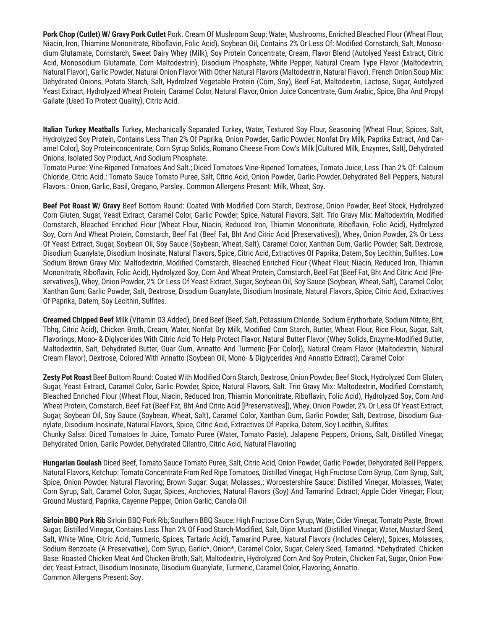**Pork Chop (Cutlet) W/ Gravy Pork Cutlet** Pork. Cream Of Mushroom Soup: Water, Mushrooms, Enriched Bleached Flour (Wheat Flour, Niacin, Iron, Thiamine Mononitrate, Riboflavin, Folic Acid), Soybean Oil, Contains 2% Or Less Of: Modified Cornstarch, Salt, Monosodium Glutamate, Cornstarch, Sweet Dairy Whey (Milk), Soy Protein Concentrate, Cream, Flavor Blend (Autolyed Yeast Extract, Citric Acid, Monosodium Glutamate, Corn Maltodextrin), Disodium Phosphate, White Pepper, Natural Cream Type Flavor (Maltodextrin, Natural Flavor), Garlic Powder, Natural Onion Flavor With Other Natural Flavors (Maltodextrin, Natural Flavor). French Onion Soup Mix: Dehydrated Onions, Potato Starch, Salt, Hydrolzed Vegetable Protein (Corn, Soy), Beef Fat, Maltodextin, Lactose, Sugar, Autolyzed Yeast Extract, Hydrolyzed Wheat Protein, Caramel Color, Natural Flavor, Onion Juice Concentrate, Gum Arabic, Spice, Bha And Propyl Gallate (Used To Protect Quality), Citric Acid.

**Italian Turkey Meatballs** Turkey, Mechanically Separated Turkey, Water, Textured Soy Flour, Seasoning [Wheat Flour, Spices, Salt, Hydrolyzed Soy Protein, Contains Less Than 2% Of Paprika, Onion Powder, Garlic Powder, Nonfat Dry Milk, Paprika Extract, And Caramel Color], Soy Proteinconcentrate, Corn Syrup Solids, Romano Cheese From Cow's Milk [Cultured Milk, Enzymes, Salt], Dehydrated Onions, Isolated Soy Product, And Sodium Phosphate.

Tomato Puree: Vine-Ripened Tomatoes And Salt.; Diced Tomatoes Vine-Ripened Tomatoes, Tomato Juice, Less Than 2% Of: Calcium Chloride, Citric Acid.: Tomato Sauce Tomato Puree, Salt, Citric Acid, Onion Powder, Garlic Powder, Dehydrated Bell Peppers, Natural Flavors.: Onion, Garlic, Basil, Oregano, Parsley. Common Allergens Present: Milk, Wheat, Soy.

**Beef Pot Roast W/ Gravy** Beef Bottom Round: Coated With Modified Corn Starch, Dextrose, Onion Powder, Beef Stock, Hydrolyzed Corn Gluten, Sugar, Yeast Extract, Caramel Color, Garlic Powder, Spice, Natural Flavors, Salt. Trio Gravy Mix: Maltodextrin, Modified Cornstarch, Bleached Enriched Flour (Wheat Flour, Niacin, Reduced Iron, Thiamin Mononitrate, Riboflavin, Folic Acid), Hydrolyzed Soy, Corn And Wheat Protein, Cornstarch, Beef Fat (Beef Fat, Bht And Citric Acid [Preservatives]), Whey, Onion Powder, 2% Or Less Of Yeast Extract, Sugar, Soybean Oil, Soy Sauce (Soybean, Wheat, Salt), Caramel Color, Xanthan Gum, Garlic Powder, Salt, Dextrose, Disodium Guanylate, Disodium Inosinate, Natural Flavors, Spice, Citric Acid, Extractives Of Paprika, Datem, Soy Lecithin, Sulfites. Low Sodium Brown Gravy Mix: Maltodextrin, Modified Cornstarch, Bleached Enriched Flour (Wheat Flour, Niacin, Reduced Iron, Thiamin Mononitrate, Riboflavin, Folic Acid), Hydrolyzed Soy, Corn And Wheat Protein, Cornstarch, Beef Fat (Beef Fat, Bht And Citric Acid [Preservatives]), Whey, Onion Powder, 2% Or Less Of Yeast Extract, Sugar, Soybean Oil, Soy Sauce (Soybean, Wheat, Salt), Caramel Color, Xanthan Gum, Garlic Powder, Salt, Dextrose, Disodium Guanylate, Disodium Inosinate, Natural Flavors, Spice, Citric Acid, Extractives Of Paprika, Datem, Soy Lecithin, Sulfites.

**Creamed Chipped Beef** Milk (Vitamin D3 Added), Dried Beef (Beef, Salt, Potassium Chloride, Sodium Erythorbate, Sodium Nitrite, Bht, Tbhq, Citric Acid), Chicken Broth, Cream, Water, Nonfat Dry Milk, Modified Corn Starch, Butter, Wheat Flour, Rice Flour, Sugar, Salt, Flavorings, Mono- & Diglycerides With Citric Acid To Help Protect Flavor, Natural Butter Flavor (Whey Solids, Enzyme-Modified Butter, Maltodextrin, Salt, Dehydrated Butter, Guar Gum, Annatto And Turmeric [For Color]), Natural Cream Flavor (Maltodextrin, Natural Cream Flavor), Dextrose, Colored With Annatto (Soybean Oil, Mono- & Diglycerides And Annatto Extract), Caramel Color

**Zesty Pot Roast** Beef Bottom Round: Coated With Modified Corn Starch, Dextrose, Onion Powder, Beef Stock, Hydrolyzed Corn Gluten, Sugar, Yeast Extract, Caramel Color, Garlic Powder, Spice, Natural Flavors, Salt. Trio Gravy Mix: Maltodextrin, Modified Cornstarch, Bleached Enriched Flour (Wheat Flour, Niacin, Reduced Iron, Thiamin Mononitrate, Riboflavin, Folic Acid), Hydrolyzed Soy, Corn And Wheat Protein, Cornstarch, Beef Fat (Beef Fat, Bht And Citric Acid [Preservatives]), Whey, Onion Powder, 2% Or Less Of Yeast Extract, Sugar, Soybean Oil, Soy Sauce (Soybean, Wheat, Salt), Caramel Color, Xanthan Gum, Garlic Powder, Salt, Dextrose, Disodium Guanylate, Disodium Inosinate, Natural Flavors, Spice, Citric Acid, Extractives Of Paprika, Datem, Soy Lecithin, Sulfites. Chunky Salsa: Diced Tomatoes In Juice, Tomato Puree (Water, Tomato Paste), Jalapeno Peppers, Onions, Salt, Distilled Vinegar,

Dehydrated Onion, Garlic Powder, Dehydrated Cilantro, Citric Acid, Natural Flavoring

**Hungarian Goulash** Diced Beef, Tomato Sauce Tomato Puree, Salt, Citric Acid, Onion Powder, Garlic Powder, Dehydrated Bell Peppers, Natural Flavors, Ketchup: Tomato Concentrate From Red Ripe Tomatoes, Distilled Vinegar, High Fructose Corn Syrup, Corn Syrup, Salt, Spice, Onion Powder, Natural Flavoring; Brown Sugar: Sugar, Molasses.; Worcestershire Sauce: Distilled Vinegar, Molasses, Water, Corn Syrup, Salt, Caramel Color, Sugar, Spices, Anchovies, Natural Flavors (Soy) And Tamarind Extract; Apple Cider Vinegar; Flour; Ground Mustard, Paprika, Cayenne Pepper, Onion Garlic, Canola Oil

**Sirloin BBQ Pork Rib** Sirloin BBQ Pork Rib; Southern BBQ Sauce: High Fructose Corn Syrup, Water, Cider Vinegar, Tomato Paste, Brown Sugar, Distilled Vinegar, Contains Less Than 2% Of Food Starch-Modified, Salt, Dijon Mustard (Distilled Vinegar, Water, Mustard Seed, Salt, White Wine, Citric Acid, Turmeric, Spices, Tartaric Acid), Tamarind Puree, Natural Flavors (Includes Celery), Spices, Molasses, Sodium Benzoate (A Preservative), Corn Syrup, Garlic\*, Onion\*, Caramel Color, Sugar, Celery Seed, Tamarind. \*Dehydrated. Chicken Base: Roasted Chicken Meat And Chicken Broth, Salt, Maltodextrin, Hydrolyzed Corn And Soy Protein, Chicken Fat, Sugar, Onion Powder, Yeast Extract, Disodium Inosinate, Disodium Guanylate, Turmeric, Caramel Color, Flavoring, Annatto. Common Allergens Present: Soy.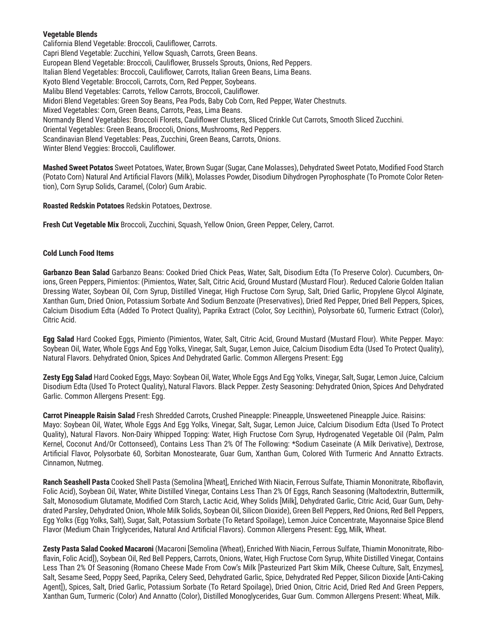## **Vegetable Blends**

California Blend Vegetable: Broccoli, Cauliflower, Carrots. Capri Blend Vegetable: Zucchini, Yellow Squash, Carrots, Green Beans. European Blend Vegetable: Broccoli, Cauliflower, Brussels Sprouts, Onions, Red Peppers. Italian Blend Vegetables: Broccoli, Cauliflower, Carrots, Italian Green Beans, Lima Beans. Kyoto Blend Vegetable: Broccoli, Carrots, Corn, Red Pepper, Soybeans. Malibu Blend Vegetables: Carrots, Yellow Carrots, Broccoli, Cauliflower. Midori Blend Vegetables: Green Soy Beans, Pea Pods, Baby Cob Corn, Red Pepper, Water Chestnuts. Mixed Vegetables: Corn, Green Beans, Carrots, Peas, Lima Beans. Normandy Blend Vegetables: Broccoli Florets, Cauliflower Clusters, Sliced Crinkle Cut Carrots, Smooth Sliced Zucchini. Oriental Vegetables: Green Beans, Broccoli, Onions, Mushrooms, Red Peppers. Scandinavian Blend Vegetables: Peas, Zucchini, Green Beans, Carrots, Onions. Winter Blend Veggies: Broccoli, Cauliflower.

**Mashed Sweet Potatos** Sweet Potatoes, Water, Brown Sugar (Sugar, Cane Molasses), Dehydrated Sweet Potato, Modified Food Starch (Potato Corn) Natural And Artificial Flavors (Milk), Molasses Powder, Disodium Dihydrogen Pyrophosphate (To Promote Color Retention), Corn Syrup Solids, Caramel, (Color) Gum Arabic.

**Roasted Redskin Potatoes** Redskin Potatoes, Dextrose.

**Fresh Cut Vegetable Mix** Broccoli, Zucchini, Squash, Yellow Onion, Green Pepper, Celery, Carrot.

#### **Cold Lunch Food Items**

**Garbanzo Bean Salad** Garbanzo Beans: Cooked Dried Chick Peas, Water, Salt, Disodium Edta (To Preserve Color). Cucumbers, Onions, Green Peppers, Pimientos: (Pimientos, Water, Salt, Citric Acid, Ground Mustard (Mustard Flour). Reduced Calorie Golden Italian Dressing Water, Soybean Oil, Corn Syrup, Distilled Vinegar, High Fructose Corn Syrup, Salt, Dried Garlic, Propylene Glycol Alginate, Xanthan Gum, Dried Onion, Potassium Sorbate And Sodium Benzoate (Preservatives), Dried Red Pepper, Dried Bell Peppers, Spices, Calcium Disodium Edta (Added To Protect Quality), Paprika Extract (Color, Soy Lecithin), Polysorbate 60, Turmeric Extract (Color), Citric Acid.

**Egg Salad** Hard Cooked Eggs, Pimiento (Pimientos, Water, Salt, Citric Acid, Ground Mustard (Mustard Flour). White Pepper. Mayo: Soybean Oil, Water, Whole Eggs And Egg Yolks, Vinegar, Salt, Sugar, Lemon Juice, Calcium Disodium Edta (Used To Protect Quality), Natural Flavors. Dehydrated Onion, Spices And Dehydrated Garlic. Common Allergens Present: Egg

**Zesty Egg Salad** Hard Cooked Eggs, Mayo: Soybean Oil, Water, Whole Eggs And Egg Yolks, Vinegar, Salt, Sugar, Lemon Juice, Calcium Disodium Edta (Used To Protect Quality), Natural Flavors. Black Pepper. Zesty Seasoning: Dehydrated Onion, Spices And Dehydrated Garlic. Common Allergens Present: Egg.

**Carrot Pineapple Raisin Salad** Fresh Shredded Carrots, Crushed Pineapple: Pineapple, Unsweetened Pineapple Juice. Raisins: Mayo: Soybean Oil, Water, Whole Eggs And Egg Yolks, Vinegar, Salt, Sugar, Lemon Juice, Calcium Disodium Edta (Used To Protect Quality), Natural Flavors. Non-Dairy Whipped Topping: Water, High Fructose Corn Syrup, Hydrogenated Vegetable Oil (Palm, Palm Kernel, Coconut And/Or Cottonseed), Contains Less Than 2% Of The Following: \*Sodium Caseinate (A Milk Derivative), Dextrose, Artificial Flavor, Polysorbate 60, Sorbitan Monostearate, Guar Gum, Xanthan Gum, Colored With Turmeric And Annatto Extracts. Cinnamon, Nutmeg.

**Ranch Seashell Pasta** Cooked Shell Pasta (Semolina [Wheat], Enriched With Niacin, Ferrous Sulfate, Thiamin Mononitrate, Riboflavin, Folic Acid), Soybean Oil, Water, White Distilled Vinegar, Contains Less Than 2% Of Eggs, Ranch Seasoning (Maltodextrin, Buttermilk, Salt, Monosodium Glutamate, Modified Corn Starch, Lactic Acid, Whey Solids [Milk], Dehydrated Garlic, Citric Acid, Guar Gum, Dehydrated Parsley, Dehydrated Onion, Whole Milk Solids, Soybean Oil, Silicon Dioxide), Green Bell Peppers, Red Onions, Red Bell Peppers, Egg Yolks (Egg Yolks, Salt), Sugar, Salt, Potassium Sorbate (To Retard Spoilage), Lemon Juice Concentrate, Mayonnaise Spice Blend Flavor (Medium Chain Triglycerides, Natural And Artificial Flavors). Common Allergens Present: Egg, Milk, Wheat.

**Zesty Pasta Salad Cooked Macaroni** (Macaroni [Semolina {Wheat}, Enriched With Niacin, Ferrous Sulfate, Thiamin Mononitrate, Riboflavin, Folic Acid]), Soybean Oil, Red Bell Peppers, Carrots, Onions, Water, High Fructose Corn Syrup, White Distilled Vinegar, Contains Less Than 2% Of Seasoning (Romano Cheese Made From Cow's Milk [Pasteurized Part Skim Milk, Cheese Culture, Salt, Enzymes], Salt, Sesame Seed, Poppy Seed, Paprika, Celery Seed, Dehydrated Garlic, Spice, Dehydrated Red Pepper, Silicon Dioxide [Anti-Caking Agent]), Spices, Salt, Dried Garlic, Potassium Sorbate (To Retard Spoilage), Dried Onion, Citric Acid, Dried Red And Green Peppers, Xanthan Gum, Turmeric (Color) And Annatto (Color), Distilled Monoglycerides, Guar Gum. Common Allergens Present: Wheat, Milk.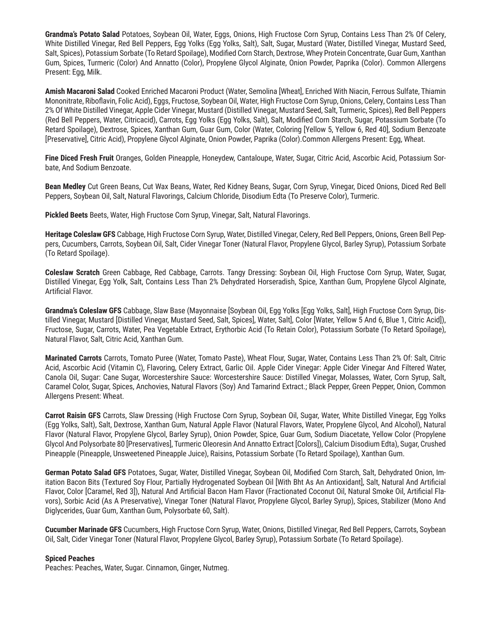**Grandma's Potato Salad** Potatoes, Soybean Oil, Water, Eggs, Onions, High Fructose Corn Syrup, Contains Less Than 2% Of Celery, White Distilled Vinegar, Red Bell Peppers, Egg Yolks (Egg Yolks, Salt), Salt, Sugar, Mustard (Water, Distilled Vinegar, Mustard Seed, Salt, Spices), Potassium Sorbate (To Retard Spoilage), Modified Corn Starch, Dextrose, Whey Protein Concentrate, Guar Gum, Xanthan Gum, Spices, Turmeric (Color) And Annatto (Color), Propylene Glycol Alginate, Onion Powder, Paprika (Color). Common Allergens Present: Egg, Milk.

**Amish Macaroni Salad** Cooked Enriched Macaroni Product (Water, Semolina [Wheat], Enriched With Niacin, Ferrous Sulfate, Thiamin Mononitrate, Riboflavin, Folic Acid), Eggs, Fructose, Soybean Oil, Water, High Fructose Corn Syrup, Onions, Celery, Contains Less Than 2% Of White Distilled Vinegar, Apple Cider Vinegar, Mustard (Distilled Vinegar, Mustard Seed, Salt, Turmeric, Spices), Red Bell Peppers (Red Bell Peppers, Water, Citricacid), Carrots, Egg Yolks (Egg Yolks, Salt), Salt, Modified Corn Starch, Sugar, Potassium Sorbate (To Retard Spoilage), Dextrose, Spices, Xanthan Gum, Guar Gum, Color (Water, Coloring [Yellow 5, Yellow 6, Red 40], Sodium Benzoate [Preservative], Citric Acid), Propylene Glycol Alginate, Onion Powder, Paprika (Color).Common Allergens Present: Egg, Wheat.

**Fine Diced Fresh Fruit** Oranges, Golden Pineapple, Honeydew, Cantaloupe, Water, Sugar, Citric Acid, Ascorbic Acid, Potassium Sorbate, And Sodium Benzoate.

**Bean Medley** Cut Green Beans, Cut Wax Beans, Water, Red Kidney Beans, Sugar, Corn Syrup, Vinegar, Diced Onions, Diced Red Bell Peppers, Soybean Oil, Salt, Natural Flavorings, Calcium Chloride, Disodium Edta (To Preserve Color), Turmeric.

**Pickled Beets** Beets, Water, High Fructose Corn Syrup, Vinegar, Salt, Natural Flavorings.

**Heritage Coleslaw GFS** Cabbage, High Fructose Corn Syrup, Water, Distilled Vinegar, Celery, Red Bell Peppers, Onions, Green Bell Peppers, Cucumbers, Carrots, Soybean Oil, Salt, Cider Vinegar Toner (Natural Flavor, Propylene Glycol, Barley Syrup), Potassium Sorbate (To Retard Spoilage).

**Coleslaw Scratch** Green Cabbage, Red Cabbage, Carrots. Tangy Dressing: Soybean Oil, High Fructose Corn Syrup, Water, Sugar, Distilled Vinegar, Egg Yolk, Salt, Contains Less Than 2% Dehydrated Horseradish, Spice, Xanthan Gum, Propylene Glycol Alginate, Artificial Flavor.

Grandma's Coleslaw GFS Cabbage, Slaw Base (Mayonnaise [Soybean Oil, Egg Yolks [Egg Yolks, Salt], High Fructose Corn Syrup, Distilled Vinegar, Mustard [Distilled Vinegar, Mustard Seed, Salt, Spices], Water, Salt], Color [Water, Yellow 5 And 6, Blue 1, Citric Acid]), Fructose, Sugar, Carrots, Water, Pea Vegetable Extract, Erythorbic Acid (To Retain Color), Potassium Sorbate (To Retard Spoilage), Natural Flavor, Salt, Citric Acid, Xanthan Gum.

**Marinated Carrots** Carrots, Tomato Puree (Water, Tomato Paste), Wheat Flour, Sugar, Water, Contains Less Than 2% Of: Salt, Citric Acid, Ascorbic Acid (Vitamin C), Flavoring, Celery Extract, Garlic Oil. Apple Cider Vinegar: Apple Cider Vinegar And Filtered Water, Canola Oil, Sugar: Cane Sugar, Worcestershire Sauce: Worcestershire Sauce: Distilled Vinegar, Molasses, Water, Corn Syrup, Salt, Caramel Color, Sugar, Spices, Anchovies, Natural Flavors (Soy) And Tamarind Extract.; Black Pepper, Green Pepper, Onion, Common Allergens Present: Wheat.

**Carrot Raisin GFS** Carrots, Slaw Dressing (High Fructose Corn Syrup, Soybean Oil, Sugar, Water, White Distilled Vinegar, Egg Yolks (Egg Yolks, Salt), Salt, Dextrose, Xanthan Gum, Natural Apple Flavor (Natural Flavors, Water, Propylene Glycol, And Alcohol), Natural Flavor (Natural Flavor, Propylene Glycol, Barley Syrup), Onion Powder, Spice, Guar Gum, Sodium Diacetate, Yellow Color (Propylene Glycol And Polysorbate 80 [Preservatives], Turmeric Oleoresin And Annatto Extract [Colors]), Calcium Disodium Edta), Sugar, Crushed Pineapple (Pineapple, Unsweetened Pineapple Juice), Raisins, Potassium Sorbate (To Retard Spoilage), Xanthan Gum.

**German Potato Salad GFS** Potatoes, Sugar, Water, Distilled Vinegar, Soybean Oil, Modified Corn Starch, Salt, Dehydrated Onion, Imitation Bacon Bits (Textured Soy Flour, Partially Hydrogenated Soybean Oil [With Bht As An Antioxidant], Salt, Natural And Artificial Flavor, Color [Caramel, Red 3]), Natural And Artificial Bacon Ham Flavor (Fractionated Coconut Oil, Natural Smoke Oil, Artificial Flavors), Sorbic Acid (As A Preservative), Vinegar Toner (Natural Flavor, Propylene Glycol, Barley Syrup), Spices, Stabilizer (Mono And Diglycerides, Guar Gum, Xanthan Gum, Polysorbate 60, Salt).

**Cucumber Marinade GFS** Cucumbers, High Fructose Corn Syrup, Water, Onions, Distilled Vinegar, Red Bell Peppers, Carrots, Soybean Oil, Salt, Cider Vinegar Toner (Natural Flavor, Propylene Glycol, Barley Syrup), Potassium Sorbate (To Retard Spoilage).

### **Spiced Peaches**

Peaches: Peaches, Water, Sugar. Cinnamon, Ginger, Nutmeg.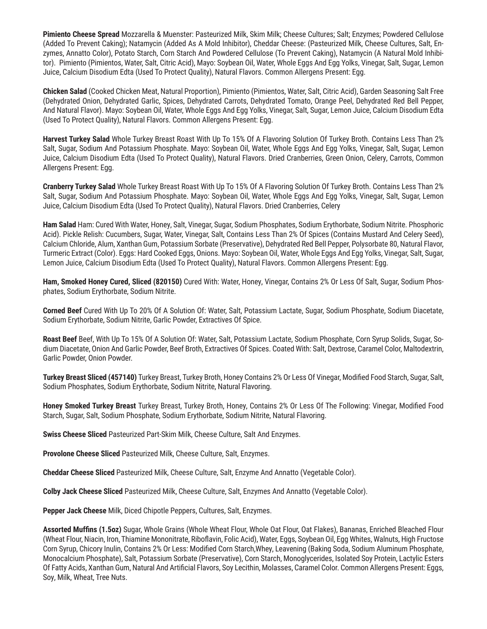**Pimiento Cheese Spread** Mozzarella & Muenster: Pasteurized Milk, Skim Milk; Cheese Cultures; Salt; Enzymes; Powdered Cellulose (Added To Prevent Caking); Natamycin (Added As A Mold Inhibitor), Cheddar Cheese: (Pasteurized Milk, Cheese Cultures, Salt, Enzymes, Annatto Color), Potato Starch, Corn Starch And Powdered Cellulose (To Prevent Caking), Natamycin (A Natural Mold Inhibitor). Pimiento (Pimientos, Water, Salt, Citric Acid), Mayo: Soybean Oil, Water, Whole Eggs And Egg Yolks, Vinegar, Salt, Sugar, Lemon Juice, Calcium Disodium Edta (Used To Protect Quality), Natural Flavors. Common Allergens Present: Egg.

**Chicken Salad** (Cooked Chicken Meat, Natural Proportion), Pimiento (Pimientos, Water, Salt, Citric Acid), Garden Seasoning Salt Free (Dehydrated Onion, Dehydrated Garlic, Spices, Dehydrated Carrots, Dehydrated Tomato, Orange Peel, Dehydrated Red Bell Pepper, And Natural Flavor). Mayo: Soybean Oil, Water, Whole Eggs And Egg Yolks, Vinegar, Salt, Sugar, Lemon Juice, Calcium Disodium Edta (Used To Protect Quality), Natural Flavors. Common Allergens Present: Egg.

**Harvest Turkey Salad** Whole Turkey Breast Roast With Up To 15% Of A Flavoring Solution Of Turkey Broth. Contains Less Than 2% Salt, Sugar, Sodium And Potassium Phosphate. Mayo: Soybean Oil, Water, Whole Eggs And Egg Yolks, Vinegar, Salt, Sugar, Lemon Juice, Calcium Disodium Edta (Used To Protect Quality), Natural Flavors. Dried Cranberries, Green Onion, Celery, Carrots, Common Allergens Present: Egg.

**Cranberry Turkey Salad** Whole Turkey Breast Roast With Up To 15% Of A Flavoring Solution Of Turkey Broth. Contains Less Than 2% Salt, Sugar, Sodium And Potassium Phosphate. Mayo: Soybean Oil, Water, Whole Eggs And Egg Yolks, Vinegar, Salt, Sugar, Lemon Juice, Calcium Disodium Edta (Used To Protect Quality), Natural Flavors. Dried Cranberries, Celery

**Ham Salad** Ham: Cured With Water, Honey, Salt, Vinegar, Sugar, Sodium Phosphates, Sodium Erythorbate, Sodium Nitrite. Phosphoric Acid). Pickle Relish: Cucumbers, Sugar, Water, Vinegar, Salt, Contains Less Than 2% Of Spices (Contains Mustard And Celery Seed), Calcium Chloride, Alum, Xanthan Gum, Potassium Sorbate (Preservative), Dehydrated Red Bell Pepper, Polysorbate 80, Natural Flavor, Turmeric Extract (Color). Eggs: Hard Cooked Eggs, Onions. Mayo: Soybean Oil, Water, Whole Eggs And Egg Yolks, Vinegar, Salt, Sugar, Lemon Juice, Calcium Disodium Edta (Used To Protect Quality), Natural Flavors. Common Allergens Present: Egg.

**Ham, Smoked Honey Cured, Sliced (820150)** Cured With: Water, Honey, Vinegar, Contains 2% Or Less Of Salt, Sugar, Sodium Phosphates, Sodium Erythorbate, Sodium Nitrite.

**Corned Beef** Cured With Up To 20% Of A Solution Of: Water, Salt, Potassium Lactate, Sugar, Sodium Phosphate, Sodium Diacetate, Sodium Erythorbate, Sodium Nitrite, Garlic Powder, Extractives Of Spice.

**Roast Beef** Beef, With Up To 15% Of A Solution Of: Water, Salt, Potassium Lactate, Sodium Phosphate, Corn Syrup Solids, Sugar, Sodium Diacetate, Onion And Garlic Powder, Beef Broth, Extractives Of Spices. Coated With: Salt, Dextrose, Caramel Color, Maltodextrin, Garlic Powder, Onion Powder.

**Turkey Breast Sliced (457140)** Turkey Breast, Turkey Broth, Honey Contains 2% Or Less Of Vinegar, Modified Food Starch, Sugar, Salt, Sodium Phosphates, Sodium Erythorbate, Sodium Nitrite, Natural Flavoring.

**Honey Smoked Turkey Breast** Turkey Breast, Turkey Broth, Honey, Contains 2% Or Less Of The Following: Vinegar, Modified Food Starch, Sugar, Salt, Sodium Phosphate, Sodium Erythorbate, Sodium Nitrite, Natural Flavoring.

**Swiss Cheese Sliced** Pasteurized Part-Skim Milk, Cheese Culture, Salt And Enzymes.

**Provolone Cheese Sliced** Pasteurized Milk, Cheese Culture, Salt, Enzymes.

**Cheddar Cheese Sliced** Pasteurized Milk, Cheese Culture, Salt, Enzyme And Annatto (Vegetable Color).

**Colby Jack Cheese Sliced** Pasteurized Milk, Cheese Culture, Salt, Enzymes And Annatto (Vegetable Color).

**Pepper Jack Cheese** Milk, Diced Chipotle Peppers, Cultures, Salt, Enzymes.

**Assorted Muffins (1.5oz)** Sugar, Whole Grains (Whole Wheat Flour, Whole Oat Flour, Oat Flakes), Bananas, Enriched Bleached Flour (Wheat Flour, Niacin, Iron, Thiamine Mononitrate, Riboflavin, Folic Acid), Water, Eggs, Soybean Oil, Egg Whites, Walnuts, High Fructose Corn Syrup, Chicory Inulin, Contains 2% Or Less: Modified Corn Starch,Whey, Leavening (Baking Soda, Sodium Aluminum Phosphate, Monocalcium Phosphate), Salt, Potassium Sorbate (Preservative), Corn Starch, Monoglycerides, Isolated Soy Protein, Lactylic Esters Of Fatty Acids, Xanthan Gum, Natural And Artificial Flavors, Soy Lecithin, Molasses, Caramel Color. Common Allergens Present: Eggs, Soy, Milk, Wheat, Tree Nuts.